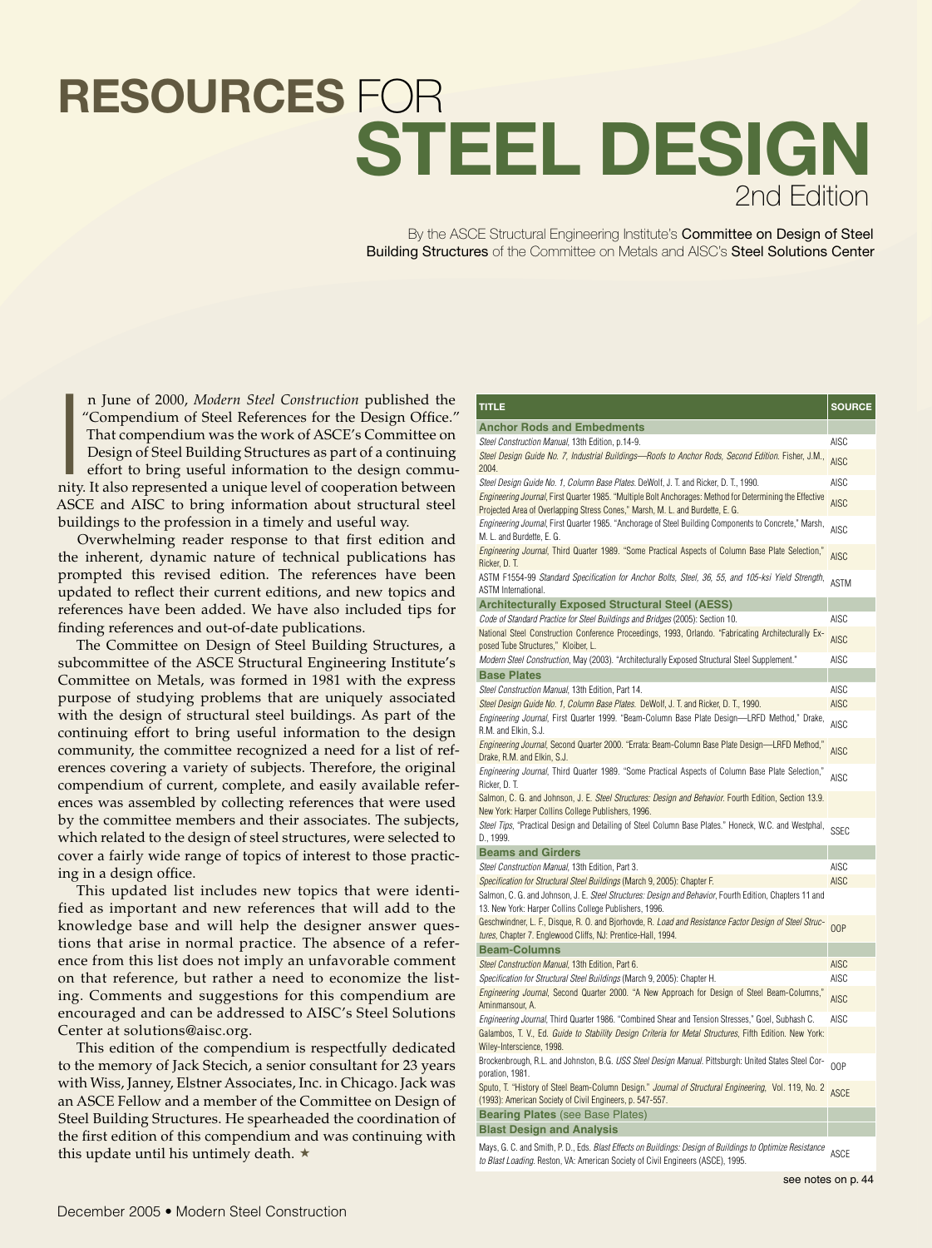## **STEEL DESIGN** 2nd Edition **RESOURCES** FOR

By the ASCE Structural Engineering Institute's Committee on Design of Steel Building Structures of the Committee on Metals and AISC's Steel Solutions Center

n June of 2000, *Modern Steel Construction* published the "Compendium of Steel References for the Design Office." That compendium was the work of ASCE's Committee on Design of Steel Building Structures as part of a continu n June of 2000, *Modern Steel Construction* published the "Compendium of Steel References for the Design Office." That compendium was the work of ASCE's Committee on Design of Steel Building Structures as part of a continuing effort to bring useful information to the design commu-ASCE and AISC to bring information about structural steel buildings to the profession in a timely and useful way.

Overwhelming reader response to that first edition and the inherent, dynamic nature of technical publications has prompted this revised edition. The references have been updated to reflect their current editions, and new topics and references have been added. We have also included tips for finding references and out-of-date publications.

The Committee on Design of Steel Building Structures, a subcommittee of the ASCE Structural Engineering Institute's Committee on Metals, was formed in 1981 with the express purpose of studying problems that are uniquely associated with the design of structural steel buildings. As part of the continuing effort to bring useful information to the design community, the committee recognized a need for a list of references covering a variety of subjects. Therefore, the original compendium of current, complete, and easily available references was assembled by collecting references that were used by the committee members and their associates. The subjects, which related to the design of steel structures, were selected to cover a fairly wide range of topics of interest to those practicing in a design office.

This updated list includes new topics that were identified as important and new references that will add to the knowledge base and will help the designer answer questions that arise in normal practice. The absence of a reference from this list does not imply an unfavorable comment on that reference, but rather a need to economize the listing. Comments and suggestions for this compendium are encouraged and can be addressed to AISC's Steel Solutions Center at solutions@aisc.org.

This edition of the compendium is respectfully dedicated to the memory of Jack Stecich, a senior consultant for 23 years with Wiss, Janney, Elstner Associates, Inc. in Chicago. Jack was an ASCE Fellow and a member of the Committee on Design of Steel Building Structures. He spearheaded the coordination of the first edition of this compendium and was continuing with this update until his untimely death.  $\star$ 

| TITLE                                                                                                                                                                                                                                         | <b>SOURCE</b>       |
|-----------------------------------------------------------------------------------------------------------------------------------------------------------------------------------------------------------------------------------------------|---------------------|
| <b>Anchor Rods and Embedments</b>                                                                                                                                                                                                             |                     |
| Steel Construction Manual, 13th Edition, p.14-9.                                                                                                                                                                                              | AISC                |
| Steel Design Guide No. 7, Industrial Buildings—Roofs to Anchor Rods, Second Edition. Fisher, J.M.,<br>2004.                                                                                                                                   | <b>AISC</b>         |
| Steel Design Guide No. 1, Column Base Plates. DeWolf, J. T. and Ricker, D. T., 1990.                                                                                                                                                          | AISC                |
| Engineering Journal, First Quarter 1985. "Multiple Bolt Anchorages: Method for Determining the Effective<br>Projected Area of Overlapping Stress Cones," Marsh, M. L. and Burdette, E. G.                                                     | <b>AISC</b>         |
| Engineering Journal, First Quarter 1985. "Anchorage of Steel Building Components to Concrete," Marsh,<br>M. L. and Burdette, E. G.                                                                                                            | <b>AISC</b>         |
| Engineering Journal, Third Quarter 1989. "Some Practical Aspects of Column Base Plate Selection,"<br>Ricker, D. T.                                                                                                                            | <b>AISC</b>         |
| ASTM F1554-99 Standard Specification for Anchor Bolts, Steel, 36, 55, and 105-ksi Yield Strength,<br>ASTM International.                                                                                                                      | <b>ASTM</b>         |
| <b>Architecturally Exposed Structural Steel (AESS)</b>                                                                                                                                                                                        |                     |
| Code of Standard Practice for Steel Buildings and Bridges (2005): Section 10.                                                                                                                                                                 | AISC                |
| National Steel Construction Conference Proceedings, 1993, Orlando. "Fabricating Architecturally Ex-<br>posed Tube Structures," Kloiber, L.                                                                                                    | <b>AISC</b>         |
| Modern Steel Construction, May (2003). "Architecturally Exposed Structural Steel Supplement."                                                                                                                                                 | AISC                |
| <b>Base Plates</b>                                                                                                                                                                                                                            | AISC                |
| Steel Construction Manual, 13th Edition, Part 14.<br>Steel Design Guide No. 1, Column Base Plates. DeWolf, J. T. and Ricker, D. T., 1990.                                                                                                     | <b>AISC</b>         |
| Engineering Journal, First Quarter 1999. "Beam-Column Base Plate Design-LRFD Method," Drake,                                                                                                                                                  |                     |
| R.M. and Elkin, S.J.<br>Engineering Journal, Second Quarter 2000. "Errata: Beam-Column Base Plate Design-LRFD Method,"                                                                                                                        | <b>AISC</b>         |
| Drake, R.M. and Elkin, S.J.<br>Engineering Journal, Third Quarter 1989. "Some Practical Aspects of Column Base Plate Selection,"                                                                                                              | <b>AISC</b>         |
| Ricker, D. T.                                                                                                                                                                                                                                 | AISC                |
| Salmon, C. G. and Johnson, J. E. Steel Structures: Design and Behavior. Fourth Edition, Section 13.9.<br>New York: Harper Collins College Publishers, 1996.                                                                                   |                     |
| Steel Tips, "Practical Design and Detailing of Steel Column Base Plates." Honeck, W.C. and Westphal,<br>D., 1999.                                                                                                                             | <b>SSEC</b>         |
| <b>Beams and Girders</b>                                                                                                                                                                                                                      |                     |
| Steel Construction Manual, 13th Edition, Part 3.                                                                                                                                                                                              | AISC<br><b>AISC</b> |
| Specification for Structural Steel Buildings (March 9, 2005): Chapter F.<br>Salmon, C. G. and Johnson, J. E. Steel Structures: Design and Behavior, Fourth Edition, Chapters 11 and<br>13. New York: Harper Collins College Publishers, 1996. |                     |
| Geschwindner, L. F., Disque, R. O. and Bjorhovde, R. Load and Resistance Factor Design of Steel Struc-<br>tures, Chapter 7. Englewood Cliffs, NJ: Prentice-Hall, 1994.                                                                        | 00P                 |
| <b>Beam-Columns</b>                                                                                                                                                                                                                           |                     |
| Steel Construction Manual, 13th Edition, Part 6.                                                                                                                                                                                              | <b>AISC</b>         |
| Specification for Structural Steel Buildings (March 9, 2005): Chapter H.                                                                                                                                                                      | AISC                |
| Engineering Journal, Second Quarter 2000. "A New Approach for Design of Steel Beam-Columns,"<br>Aminmansour, A.                                                                                                                               | <b>AISC</b>         |
| <i>Engineering Journal</i> , Third Quarter 1986. "Combined Shear and Tension Stresses," Goel, Subhash C.                                                                                                                                      | <b>AISC</b>         |
| Galambos, T. V., Ed. Guide to Stability Design Criteria for Metal Structures, Fifth Edition. New York:<br>Wiley-Interscience, 1998.                                                                                                           |                     |
| Brockenbrough, R.L. and Johnston, B.G. USS Steel Design Manual. Pittsburgh: United States Steel Cor-<br>poration, 1981.                                                                                                                       | 00P                 |
| Sputo, T. "History of Steel Beam-Column Design." Journal of Structural Engineering, Vol. 119, No. 2<br>(1993): American Society of Civil Engineers, p. 547-557.                                                                               | <b>ASCE</b>         |
| <b>Bearing Plates (see Base Plates)</b>                                                                                                                                                                                                       |                     |
| <b>Blast Design and Analysis</b>                                                                                                                                                                                                              |                     |
| Mays, G. C. and Smith, P. D., Eds. Blast Effects on Buildings: Design of Buildings to Optimize Resistance<br>to Blast Loading. Reston, VA: American Society of Civil Engineers (ASCE), 1995.                                                  | ASCE                |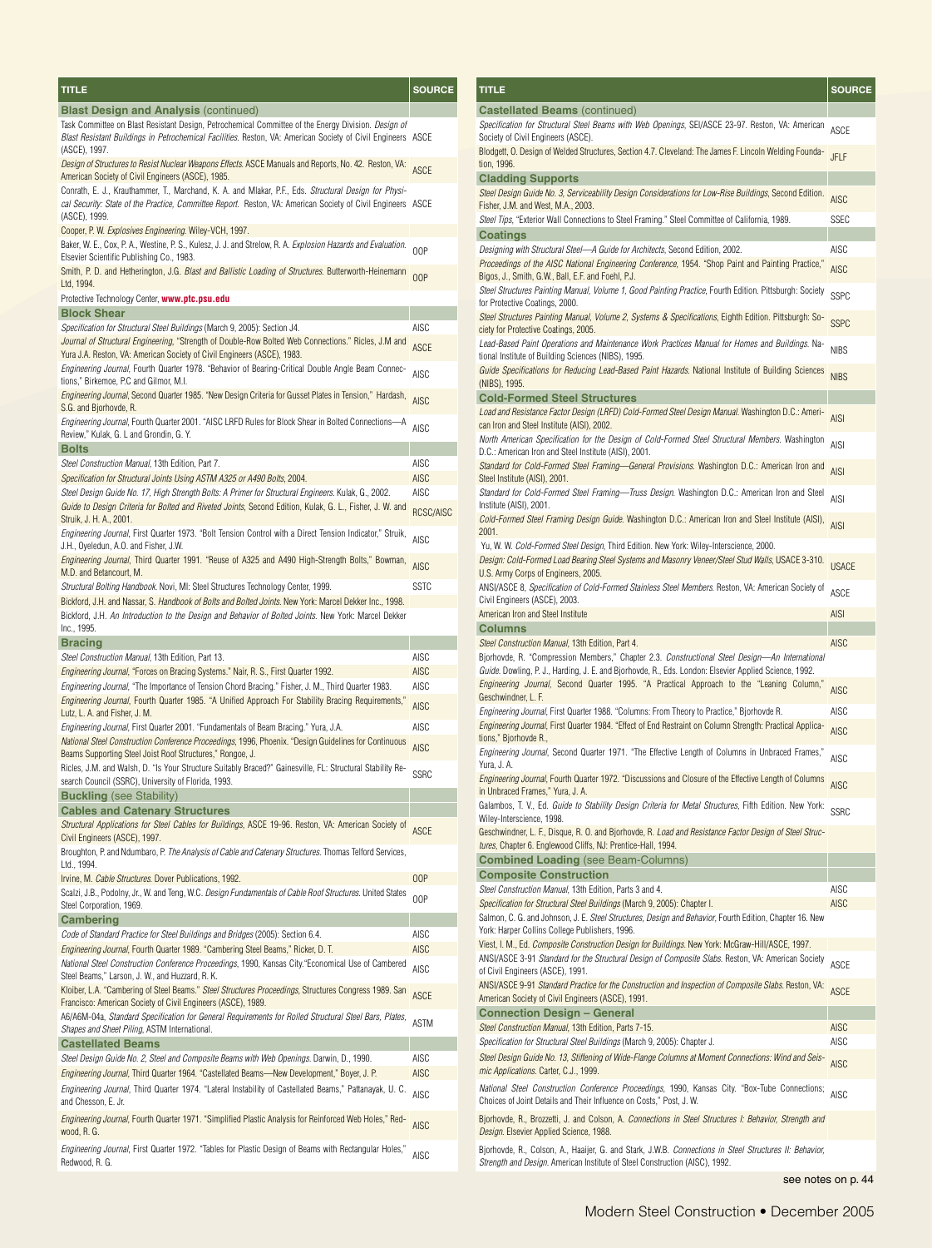| TITLE                                                                                                                                                                                                                                | SOURCE            |
|--------------------------------------------------------------------------------------------------------------------------------------------------------------------------------------------------------------------------------------|-------------------|
| <b>Blast Design and Analysis (continued)</b>                                                                                                                                                                                         |                   |
| Task Committee on Blast Resistant Design, Petrochemical Committee of the Energy Division. Design of<br>Blast Resistant Buildings in Petrochemical Facilities. Reston, VA: American Society of Civil Engineers ASCE<br>(ASCE), 1997.  |                   |
| Design of Structures to Resist Nuclear Weapons Effects. ASCE Manuals and Reports, No. 42. Reston, VA:<br>American Society of Civil Engineers (ASCE), 1985.                                                                           | <b>ASCE</b>       |
| Conrath, E. J., Krauthammer, T., Marchand, K. A. and Mlakar, P.F., Eds. Structural Design for Physi-<br>cal Security: State of the Practice, Committee Report. Reston, VA: American Society of Civil Engineers ASCE<br>(ASCE), 1999. |                   |
| Cooper, P. W. Explosives Engineering. Wiley-VCH, 1997.                                                                                                                                                                               |                   |
| Baker, W. E., Cox, P. A., Westine, P. S., Kulesz, J. J. and Strelow, R. A. Explosion Hazards and Evaluation.<br>Elsevier Scientific Publishing Co., 1983.                                                                            | 00P               |
| Smith, P. D. and Hetherington, J.G. Blast and Ballistic Loading of Structures. Butterworth-Heinemann<br>Ltd, 1994.                                                                                                                   | 00P               |
| Protective Technology Center, www.ptc.psu.edu                                                                                                                                                                                        |                   |
| <b>Block Shear</b>                                                                                                                                                                                                                   |                   |
| Specification for Structural Steel Buildings (March 9, 2005): Section J4.                                                                                                                                                            | <b>AISC</b>       |
| Journal of Structural Engineering, "Strength of Double-Row Bolted Web Connections." Ricles, J.M and<br>Yura J.A. Reston, VA: American Society of Civil Engineers (ASCE), 1983.                                                       | <b>ASCE</b>       |
| <i>Engineering Journal</i> , Fourth Quarter 1978. "Behavior of Bearing-Critical Double Angle Beam Connec-<br>tions," Birkemoe, P.C and Gilmor, M.I.                                                                                  | AISC              |
| Engineering Journal, Second Quarter 1985. "New Design Criteria for Gusset Plates in Tension," Hardash,<br>S.G. and Bjorhovde, R.                                                                                                     | <b>AISC</b>       |
| Engineering Journal, Fourth Quarter 2001. "AISC LRFD Rules for Block Shear in Bolted Connections-<br>-A<br>Review," Kulak, G. L and Grondin, G. Y.                                                                                   | <b>AISC</b>       |
| <b>Bolts</b>                                                                                                                                                                                                                         |                   |
| Steel Construction Manual, 13th Edition, Part 7.                                                                                                                                                                                     | AISC              |
| Specification for Structural Joints Using ASTM A325 or A490 Bolts, 2004.<br>Steel Design Guide No. 17, High Strength Bolts: A Primer for Structural Engineers. Kulak, G., 2002.                                                      | <b>AISC</b>       |
| Guide to Design Criteria for Bolted and Riveted Joints, Second Edition, Kulak, G. L., Fisher, J. W. and                                                                                                                              | AISC<br>RCSC/AISC |
| Struik, J. H. A., 2001.<br>Engineering Journal, First Quarter 1973. "Bolt Tension Control with a Direct Tension Indicator," Struik,                                                                                                  | AISC              |
| J.H., Oyeledun, A.O. and Fisher, J.W.<br><i>Engineering Journal</i> , Third Quarter 1991. "Reuse of A325 and A490 High-Strength Bolts," Bowman,                                                                                      | <b>AISC</b>       |
| M.D. and Betancourt, M.<br>Structural Bolting Handbook. Novi, MI: Steel Structures Technology Center, 1999.                                                                                                                          | <b>SSTC</b>       |
| Bickford, J.H. and Nassar, S. Handbook of Bolts and Bolted Joints. New York: Marcel Dekker Inc., 1998.                                                                                                                               |                   |
| Bickford, J.H. An Introduction to the Design and Behavior of Bolted Joints. New York: Marcel Dekker<br>Inc., 1995.                                                                                                                   |                   |
| <b>Bracing</b>                                                                                                                                                                                                                       |                   |
| Steel Construction Manual, 13th Edition, Part 13.                                                                                                                                                                                    | AISC              |
| Engineering Journal, "Forces on Bracing Systems." Nair, R. S., First Quarter 1992.                                                                                                                                                   | AISC              |
| Engineering Journal, "The Importance of Tension Chord Bracing." Fisher, J. M., Third Quarter 1983.                                                                                                                                   | AISC              |
| Engineering Journal, Fourth Quarter 1985. "A Unified Approach For Stability Bracing Requirements,"<br>Lutz, L. A. and Fisher, J. M.                                                                                                  | <b>AISC</b>       |
| Engineering Journal, First Quarter 2001. "Fundamentals of Beam Bracing." Yura, J.A.                                                                                                                                                  | AISC              |
| National Steel Construction Conference Proceedings, 1996, Phoenix. "Design Guidelines for Continuous<br>Beams Supporting Steel Joist Roof Structures," Rongoe, J.                                                                    | <b>AISC</b>       |
| Ricles, J.M. and Walsh, D. "Is Your Structure Suitably Braced?" Gainesville, FL: Structural Stability Re-<br>search Council (SSRC), University of Florida, 1993.                                                                     | <b>SSRC</b>       |
| <b>Buckling</b> (see Stability)                                                                                                                                                                                                      |                   |
| <b>Cables and Catenary Structures</b>                                                                                                                                                                                                |                   |
| Structural Applications for Steel Cables for Buildings, ASCE 19-96. Reston, VA: American Society of<br>Civil Engineers (ASCE), 1997.                                                                                                 | <b>ASCE</b>       |
| Broughton, P. and Ndumbaro, P. The Analysis of Cable and Catenary Structures. Thomas Telford Services,<br>Ltd., 1994.                                                                                                                |                   |
| Irvine, M. Cable Structures. Dover Publications, 1992.                                                                                                                                                                               | 00P               |
| Scalzi, J.B., Podolny, Jr., W. and Teng, W.C. Design Fundamentals of Cable Roof Structures. United States<br>Steel Corporation, 1969.                                                                                                | 00P               |
| <b>Cambering</b>                                                                                                                                                                                                                     |                   |
| Code of Standard Practice for Steel Buildings and Bridges (2005): Section 6.4.                                                                                                                                                       | AISC              |
| Engineering Journal, Fourth Quarter 1989. "Cambering Steel Beams," Ricker, D. T.<br>National Steel Construction Conference Proceedings, 1990, Kansas City."Economical Use of Cambered                                                | AISC              |
| Steel Beams," Larson, J. W., and Huzzard, R. K.                                                                                                                                                                                      | AISC              |
| Kloiber, L.A. "Cambering of Steel Beams." Steel Structures Proceedings, Structures Congress 1989. San<br>Francisco: American Society of Civil Engineers (ASCE), 1989.                                                                | ASCE              |
| A6/A6M-04a, Standard Specification for General Requirements for Rolled Structural Steel Bars, Plates,<br>Shapes and Sheet Piling, ASTM International.                                                                                | ASTM              |
| <b>Castellated Beams</b>                                                                                                                                                                                                             |                   |
| Steel Design Guide No. 2, Steel and Composite Beams with Web Openings. Darwin, D., 1990.                                                                                                                                             | AISC              |
| Engineering Journal, Third Quarter 1964. "Castellated Beams-New Development," Boyer, J. P.                                                                                                                                           | <b>AISC</b>       |
| Engineering Journal, Third Quarter 1974. "Lateral Instability of Castellated Beams," Pattanayak, U. C.<br>and Chesson, E. Jr.                                                                                                        | AISC              |
| Engineering Journal, Fourth Quarter 1971. "Simplified Plastic Analysis for Reinforced Web Holes," Red-<br>wood, R. G.                                                                                                                | <b>AISC</b>       |
| Engineering Journal, First Quarter 1972. "Tables for Plastic Design of Beams with Rectangular Holes,"<br>Redwood, R. G.                                                                                                              | <b>AISC</b>       |

| <b>TITLE</b>                                                                                                                                                                                            | <b>SOURCE</b> |
|---------------------------------------------------------------------------------------------------------------------------------------------------------------------------------------------------------|---------------|
| <b>Castellated Beams (continued)</b>                                                                                                                                                                    |               |
| Specification for Structural Steel Beams with Web Openings, SEI/ASCE 23-97. Reston, VA: American<br>Society of Civil Engineers (ASCE).                                                                  | ASCE          |
| Blodgett, O. Design of Welded Structures, Section 4.7. Cleveland: The James F. Lincoln Welding Founda-                                                                                                  | JFLF          |
| tion, 1996.<br><b>Cladding Supports</b>                                                                                                                                                                 |               |
| Steel Design Guide No. 3, Serviceability Design Considerations for Low-Rise Buildings, Second Edition.                                                                                                  | <b>AISC</b>   |
| Fisher, J.M. and West, M.A., 2003.<br>Steel Tips, "Exterior Wall Connections to Steel Framing." Steel Committee of California, 1989.                                                                    | SSEC          |
| <b>Coatings</b>                                                                                                                                                                                         |               |
| Designing with Structural Steel-A Guide for Architects, Second Edition, 2002.                                                                                                                           | AISC          |
| Proceedings of the AISC National Engineering Conference, 1954. "Shop Paint and Painting Practice,"<br>Bigos, J., Smith, G.W., Ball, E.F. and Foehl, P.J.                                                | <b>AISC</b>   |
| Steel Structures Painting Manual, Volume 1, Good Painting Practice, Fourth Edition. Pittsburgh: Society<br>for Protective Coatings, 2000.                                                               | <b>SSPC</b>   |
| Steel Structures Painting Manual, Volume 2, Systems & Specifications, Eighth Edition. Pittsburgh: So-<br>ciety for Protective Coatings, 2005.                                                           | <b>SSPC</b>   |
| Lead-Based Paint Operations and Maintenance Work Practices Manual for Homes and Buildings. Na-<br>tional Institute of Building Sciences (NIBS), 1995.                                                   | <b>NIBS</b>   |
| Guide Specifications for Reducing Lead-Based Paint Hazards. National Institute of Building Sciences<br>(NIBS), 1995.                                                                                    | <b>NIBS</b>   |
| <b>Cold-Formed Steel Structures</b>                                                                                                                                                                     |               |
| Load and Resistance Factor Design (LRFD) Cold-Formed Steel Design Manual. Washington D.C.: Ameri-<br>can Iron and Steel Institute (AISI), 2002.                                                         | <b>AISI</b>   |
| North American Specification for the Design of Cold-Formed Steel Structural Members. Washington<br>D.C.: American Iron and Steel Institute (AISI), 2001.                                                | <b>AISI</b>   |
| Standard for Cold-Formed Steel Framing-General Provisions. Washington D.C.: American Iron and<br>Steel Institute (AISI), 2001.                                                                          | <b>AISI</b>   |
| Standard for Cold-Formed Steel Framing—Truss Design. Washington D.C.: American Iron and Steel<br>Institute (AISI), 2001.                                                                                | AISI          |
| Cold-Formed Steel Framing Design Guide. Washington D.C.: American Iron and Steel Institute (AISI),<br>2001.                                                                                             | <b>AISI</b>   |
| Yu, W. W. Cold-Formed Steel Design, Third Edition. New York: Wiley-Interscience, 2000.                                                                                                                  |               |
| Design: Cold-Formed Load Bearing Steel Systems and Masonry Veneer/Steel Stud Walls, USACE 3-310.<br>U.S. Army Corps of Engineers, 2005.                                                                 | <b>USACE</b>  |
| ANSI/ASCE 8, Specification of Cold-Formed Stainless Steel Members. Reston, VA: American Society of                                                                                                      | ASCE          |
| Civil Engineers (ASCE), 2003.<br>American Iron and Steel Institute                                                                                                                                      | <b>AISI</b>   |
| Columns                                                                                                                                                                                                 |               |
| Steel Construction Manual, 13th Edition, Part 4.                                                                                                                                                        | <b>AISC</b>   |
| Bjorhovde, R. "Compression Members," Chapter 2.3. Constructional Steel Design—An International<br>Guide. Dowling, P. J., Harding, J. E. and Bjorhovde, R., Eds. London: Elsevier Applied Science, 1992. |               |
| Engineering Journal, Second Quarter 1995. "A Practical Approach to the "Leaning Column,"<br>Geschwindner, L. F.                                                                                         | <b>AISC</b>   |
| Engineering Journal, First Quarter 1988. "Columns: From Theory to Practice," Bjorhovde R.<br>Engineering Journal, First Quarter 1984. "Effect of End Restraint on Column Strength: Practical Applica-   | AISC          |
| tions," Bjorhovde R.,                                                                                                                                                                                   | <b>AISC</b>   |
| Engineering Journal, Second Quarter 1971. "The Effective Length of Columns in Unbraced Frames,"<br>Yura, J. A.                                                                                          | AISC          |
| <i>Engineering Journal</i> , Fourth Quarter 1972. "Discussions and Closure of the Effective Length of Columns<br>in Unbraced Frames," Yura, J. A.                                                       | <b>AISC</b>   |
| Galambos, T. V., Ed. Guide to Stability Design Criteria for Metal Structures, Fifth Edition. New York:<br>Wiley-Interscience, 1998.                                                                     | <b>SSRC</b>   |
| Geschwindner, L. F., Disque, R. O. and Bjorhovde, R. Load and Resistance Factor Design of Steel Struc-<br>tures, Chapter 6. Englewood Cliffs, NJ: Prentice-Hall, 1994.                                  |               |
| <b>Combined Loading (see Beam-Columns)</b>                                                                                                                                                              |               |
| <b>Composite Construction</b><br>Steel Construction Manual, 13th Edition, Parts 3 and 4.                                                                                                                | AISC          |
| Specification for Structural Steel Buildings (March 9, 2005): Chapter I.                                                                                                                                | <b>AISC</b>   |
| Salmon, C. G. and Johnson, J. E. Steel Structures, Design and Behavior, Fourth Edition, Chapter 16. New<br>York: Harper Collins College Publishers, 1996.                                               |               |
| Viest, I. M., Ed. Composite Construction Design for Buildings. New York: McGraw-Hill/ASCE, 1997.<br>ANSI/ASCE 3-91 Standard for the Structural Design of Composite Slabs. Reston, VA: American Society  |               |
| of Civil Engineers (ASCE), 1991.                                                                                                                                                                        | <b>ASCE</b>   |
| ANSI/ASCE 9-91 Standard Practice for the Construction and Inspection of Composite Slabs. Reston, VA:<br>American Society of Civil Engineers (ASCE), 1991.                                               | <b>ASCE</b>   |
| <b>Connection Design - General</b><br>Steel Construction Manual, 13th Edition, Parts 7-15.                                                                                                              | AISC          |
| Specification for Structural Steel Buildings (March 9, 2005): Chapter J.                                                                                                                                | AISC          |
| Steel Design Guide No. 13, Stiffening of Wide-Flange Columns at Moment Connections: Wind and Seis-<br>mic Applications. Carter, C.J., 1999.                                                             | AISC          |
| National Steel Construction Conference Proceedings, 1990, Kansas City. "Box-Tube Connections;<br>Choices of Joint Details and Their Influence on Costs," Post, J. W.                                    | <b>AISC</b>   |
| Bjorhovde, R., Brozzetti, J. and Colson, A. Connections in Steel Structures I: Behavior, Strength and<br>Design. Elsevier Applied Science, 1988.                                                        |               |
| Bjorhovde, R., Colson, A., Haaijer, G. and Stark, J.W.B. Connections in Steel Structures II: Behavior,<br>Strength and Design. American Institute of Steel Construction (AISC), 1992.                   |               |

see notes on p. 44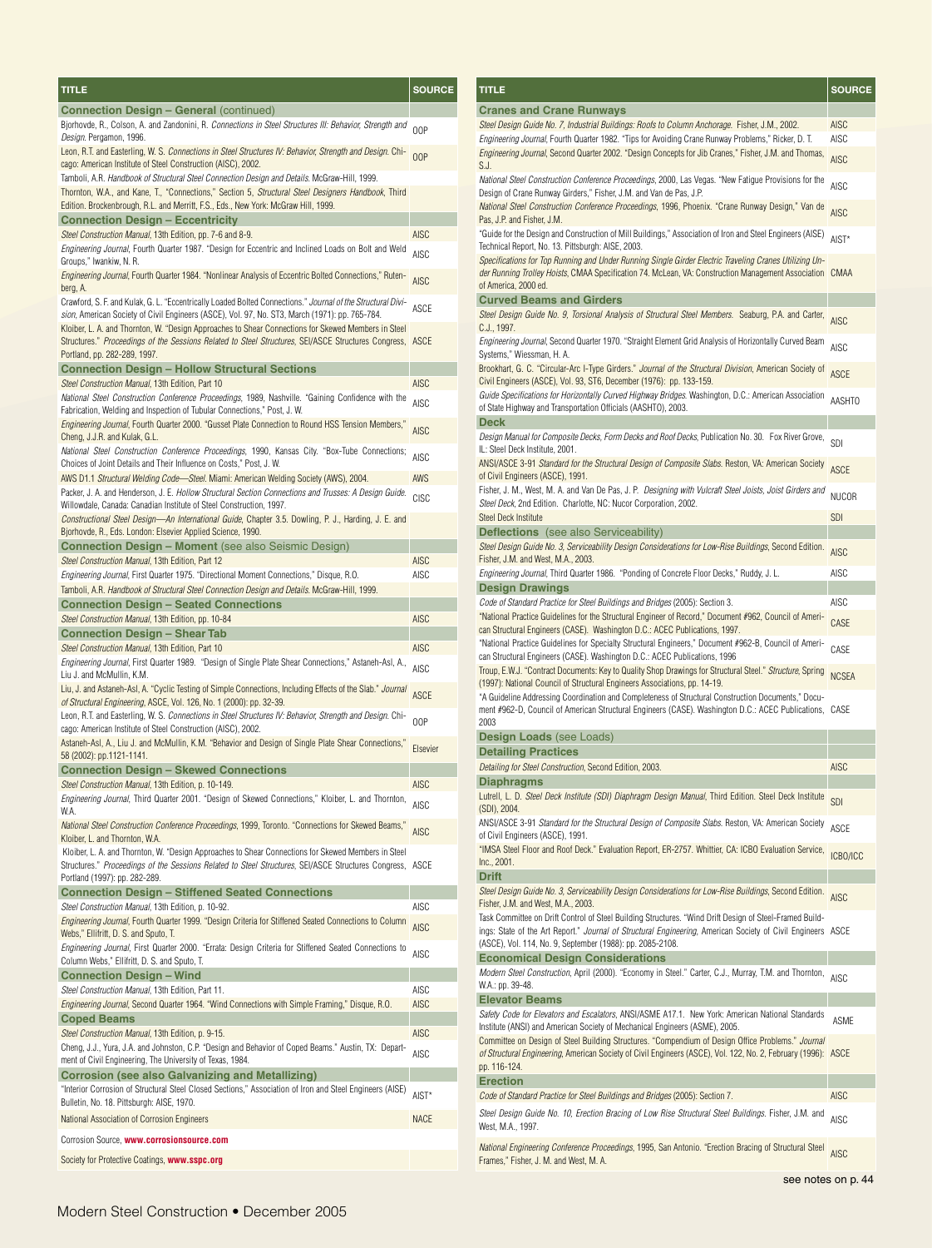| TITLE                                                                                                                                                                                                                                                                                                                       | <b>SOURCE</b>              |
|-----------------------------------------------------------------------------------------------------------------------------------------------------------------------------------------------------------------------------------------------------------------------------------------------------------------------------|----------------------------|
| <b>Connection Design - General (continued)</b>                                                                                                                                                                                                                                                                              |                            |
| Bjorhovde, R., Colson, A. and Zandonini, R. Connections in Steel Structures III: Behavior, Strength and<br>Design. Pergamon, 1996.                                                                                                                                                                                          | 00P                        |
| Leon, R.T. and Easterling, W. S. <i>Connections in Steel Structures IV: Behavior, Strength and Design</i> . Chi-<br>cago: American Institute of Steel Construction (AISC), 2002.                                                                                                                                            | 00P                        |
| Tamboli, A.R. Handbook of Structural Steel Connection Design and Details. McGraw-Hill, 1999.                                                                                                                                                                                                                                |                            |
| Thornton, W.A., and Kane, T., "Connections," Section 5, Structural Steel Designers Handbook, Third<br>Edition. Brockenbrough, R.L. and Merritt, F.S., Eds., New York: McGraw Hill, 1999.                                                                                                                                    |                            |
| <b>Connection Design - Eccentricity</b>                                                                                                                                                                                                                                                                                     |                            |
| Steel Construction Manual, 13th Edition, pp. 7-6 and 8-9.                                                                                                                                                                                                                                                                   | AISC                       |
| Engineering Journal, Fourth Quarter 1987. "Design for Eccentric and Inclined Loads on Bolt and Weld<br>Groups," Iwankiw, N. R.                                                                                                                                                                                              | <b>AISC</b>                |
| Engineering Journal, Fourth Quarter 1984. "Nonlinear Analysis of Eccentric Bolted Connections," Ruten-<br>berg, A.                                                                                                                                                                                                          | <b>AISC</b>                |
| Crawford, S. F. and Kulak, G. L. "Eccentrically Loaded Bolted Connections." <i>Journal of the Structural Divi-</i><br>sion, American Society of Civil Engineers (ASCE), Vol. 97, No. ST3, March (1971): pp. 765-784.<br>Kloiber, L. A. and Thornton, W. "Design Approaches to Shear Connections for Skewed Members in Steel | ASCE                       |
| Structures." <i>Proceedings of the Sessions Related to Steel Structures</i> , SEI/ASCE Structures Congress, ASCE<br>Portland, pp. 282-289, 1997.                                                                                                                                                                            |                            |
| <b>Connection Design - Hollow Structural Sections</b>                                                                                                                                                                                                                                                                       |                            |
| Steel Construction Manual, 13th Edition, Part 10                                                                                                                                                                                                                                                                            | AISC                       |
| National Steel Construction Conference Proceedings, 1989, Nashville. "Gaining Confidence with the<br>Fabrication, Welding and Inspection of Tubular Connections," Post, J. W.                                                                                                                                               | AISC                       |
| ",Engineering Journal, Fourth Quarter 2000. "Gusset Plate Connection to Round HSS Tension Members,<br>Cheng, J.J.R. and Kulak, G.L.                                                                                                                                                                                         | <b>AISC</b>                |
| National Steel Construction Conference Proceedings, 1990, Kansas City. "Box-Tube Connections;<br>Choices of Joint Details and Their Influence on Costs," Post, J. W.                                                                                                                                                        | <b>AISC</b>                |
| AWS D1.1 Structural Welding Code—Steel. Miami: American Welding Society (AWS), 2004.                                                                                                                                                                                                                                        | AWS                        |
| Packer, J. A. and Henderson, J. E. Hollow Structural Section Connections and Trusses: A Design Guide.<br>Willowdale, Canada: Canadian Institute of Steel Construction, 1997.                                                                                                                                                | CISC                       |
| Constructional Steel Design—An International Guide, Chapter 3.5. Dowling, P. J., Harding, J. E. and<br>Bjorhovde, R., Eds. London: Elsevier Applied Science, 1990.                                                                                                                                                          |                            |
| <b>Connection Design - Moment</b> (see also Seismic Design)                                                                                                                                                                                                                                                                 |                            |
| Steel Construction Manual, 13th Edition, Part 12<br>Engineering Journal, First Quarter 1975. "Directional Moment Connections," Disque, R.O.                                                                                                                                                                                 | <b>AISC</b><br><b>AISC</b> |
| Tamboli, A.R. <i>Handbook of Structural Steel Connection Design and Details</i> . McGraw-Hill, 1999.                                                                                                                                                                                                                        |                            |
| <b>Connection Design - Seated Connections</b>                                                                                                                                                                                                                                                                               |                            |
| Steel Construction Manual, 13th Edition, pp. 10-84                                                                                                                                                                                                                                                                          | <b>AISC</b>                |
| Connection Design - Shear Tab                                                                                                                                                                                                                                                                                               |                            |
| Steel Construction Manual, 13th Edition, Part 10                                                                                                                                                                                                                                                                            | <b>AISC</b>                |
| Engineering Journal, First Quarter 1989. "Design of Single Plate Shear Connections," Astaneh-Asl, A.,<br>Liu J. and McMullin, K.M.                                                                                                                                                                                          | AISC                       |
| Liu, J. and Astaneh-Asl, A. "Cyclic Testing of Simple Connections, Including Effects of the Slab." <i>Journal</i><br>of Structural Engineering, ASCE, Vol. 126, No. 1 (2000): pp. 32-39.                                                                                                                                    | <b>ASCE</b>                |
| Leon, R.T. and Easterling, W. S. <i>Connections in Steel Structures IV: Behavior, Strength and Design.</i> Chi-<br>cago: American Institute of Steel Construction (AISC), 2002.                                                                                                                                             | 00P                        |
| "Astaneh-Asl, A., Liu J. and McMullin, K.M. "Behavior and Design of Single Plate Shear Connections,<br>58 (2002): pp.1121-1141.                                                                                                                                                                                             | Elsevier                   |
| <b>Connection Design - Skewed Connections</b>                                                                                                                                                                                                                                                                               |                            |
| Steel Construction Manual, 13th Edition, p. 10-149.                                                                                                                                                                                                                                                                         | <b>AISC</b>                |
| Engineering Journal, Third Quarter 2001. "Design of Skewed Connections," Kloiber, L. and Thornton,<br>W.A.<br>",National Steel Construction Conference Proceedings, 1999, Toronto. "Connections for Skewed Beams                                                                                                            | <b>AISC</b>                |
| Kloiber, L. and Thornton, W.A.<br>Kloiber, L. A. and Thornton, W. "Design Approaches to Shear Connections for Skewed Members in Steel                                                                                                                                                                                       | <b>AISC</b>                |
| Structures." Proceedings of the Sessions Related to Steel Structures, SEI/ASCE Structures Congress, ASCE<br>Portland (1997): pp. 282-289.                                                                                                                                                                                   |                            |
| <b>Connection Design - Stiffened Seated Connections</b>                                                                                                                                                                                                                                                                     |                            |
| Steel Construction Manual, 13th Edition, p. 10-92.                                                                                                                                                                                                                                                                          | AISC                       |
| Engineering Journal, Fourth Quarter 1999. "Design Criteria for Stiffened Seated Connections to Column<br>Webs," Ellifritt, D. S. and Sputo, T.                                                                                                                                                                              | AISC                       |
| Engineering Journal, First Quarter 2000. "Errata: Design Criteria for Stiffened Seated Connections to<br>Column Webs," Ellifritt, D. S. and Sputo, T.                                                                                                                                                                       | <b>AISC</b>                |
| <b>Connection Design - Wind</b>                                                                                                                                                                                                                                                                                             |                            |
| Steel Construction Manual, 13th Edition, Part 11.                                                                                                                                                                                                                                                                           | AISC                       |
| Engineering Journal, Second Quarter 1964. "Wind Connections with Simple Framing," Disque, R.O.<br><b>Coped Beams</b>                                                                                                                                                                                                        | AISC                       |
| Steel Construction Manual, 13th Edition, p. 9-15.                                                                                                                                                                                                                                                                           | AISC                       |
| Cheng, J.J., Yura, J.A. and Johnston, C.P. "Design and Behavior of Coped Beams." Austin, TX: Depart-<br>ment of Civil Engineering, The University of Texas, 1984.                                                                                                                                                           | AISC                       |
| Corrosion (see also Galvanizing and Metallizing)                                                                                                                                                                                                                                                                            |                            |
| "Interior Corrosion of Structural Steel Closed Sections," Association of Iron and Steel Engineers (AISE)<br>Bulletin, No. 18. Pittsburgh: AISE, 1970.                                                                                                                                                                       | AIST*                      |
| National Association of Corrosion Engineers                                                                                                                                                                                                                                                                                 | <b>NACE</b>                |
| Corrosion Source, www.corrosionsource.com<br>Society for Protective Coatings, www.sspc.org                                                                                                                                                                                                                                  |                            |
|                                                                                                                                                                                                                                                                                                                             |                            |

| TITLE                                                                                                                                                                                                                                                                               | <b>SOURCE</b> |
|-------------------------------------------------------------------------------------------------------------------------------------------------------------------------------------------------------------------------------------------------------------------------------------|---------------|
| <b>Cranes and Crane Runways</b>                                                                                                                                                                                                                                                     |               |
| Steel Design Guide No. 7, Industrial Buildings: Roofs to Column Anchorage. Fisher, J.M., 2002.                                                                                                                                                                                      | AISC          |
| Engineering Journal, Fourth Quarter 1982. "Tips for Avoiding Crane Runway Problems," Ricker, D. T.                                                                                                                                                                                  | AISC          |
| Engineering Journal, Second Quarter 2002. "Design Concepts for Jib Cranes," Fisher, J.M. and Thomas,<br>S.J.                                                                                                                                                                        | <b>AISC</b>   |
| National Steel Construction Conference Proceedings, 2000, Las Vegas. "New Fatigue Provisions for the<br>Design of Crane Runway Girders," Fisher, J.M. and Van de Pas, J.P.                                                                                                          | AISC          |
| National Steel Construction Conference Proceedings, 1996, Phoenix. "Crane Runway Design," Van de<br>Pas, J.P. and Fisher, J.M.                                                                                                                                                      | <b>AISC</b>   |
| "Guide for the Design and Construction of Mill Buildings," Association of Iron and Steel Engineers (AISE)<br>Technical Report, No. 13. Pittsburgh: AISE, 2003.                                                                                                                      | AIST*         |
| Specifications for Top Running and Under Running Single Girder Electric Traveling Cranes Utilizing Un-<br>der Running Trolley Hoists, CMAA Specification 74. McLean, VA: Construction Management Association CMAA<br>of America, 2000 ed.                                           |               |
| <b>Curved Beams and Girders</b>                                                                                                                                                                                                                                                     |               |
| Steel Design Guide No. 9, Torsional Analysis of Structural Steel Members. Seaburg, P.A. and Carter,<br>C.J., 1997.                                                                                                                                                                  | <b>AISC</b>   |
| Engineering Journal, Second Quarter 1970. "Straight Element Grid Analysis of Horizontally Curved Beam<br>Systems," Wiessman, H. A.                                                                                                                                                  | <b>AISC</b>   |
| Brookhart, G. C. "Circular-Arc I-Type Girders." Journal of the Structural Division, American Society of<br>Civil Engineers (ASCE), Vol. 93, ST6, December (1976): pp. 133-159.                                                                                                      | ASCE          |
| Guide Specifications for Horizontally Curved Highway Bridges. Washington, D.C.: American Association<br>of State Highway and Transportation Officials (AASHTO), 2003.                                                                                                               | AASHTO        |
| Deck                                                                                                                                                                                                                                                                                |               |
| Design Manual for Composite Decks, Form Decks and Roof Decks, Publication No. 30. Fox River Grove,<br>IL: Steel Deck Institute, 2001.                                                                                                                                               | SDI           |
| ANSI/ASCE 3-91 Standard for the Structural Design of Composite Slabs. Reston, VA: American Society<br>of Civil Engineers (ASCE), 1991.                                                                                                                                              | <b>ASCE</b>   |
| Fisher, J. M., West, M. A. and Van De Pas, J. P. Designing with Vulcraft Steel Joists, Joist Girders and<br>Steel Deck, 2nd Edition. Charlotte, NC: Nucor Corporation, 2002.                                                                                                        | <b>NUCOR</b>  |
| Steel Deck Institute                                                                                                                                                                                                                                                                | <b>SDI</b>    |
| <b>Deflections</b> (see also Serviceability)                                                                                                                                                                                                                                        |               |
| Steel Design Guide No. 3, Serviceability Design Considerations for Low-Rise Buildings, Second Edition.<br>Fisher, J.M. and West, M.A., 2003.                                                                                                                                        | <b>AISC</b>   |
| Engineering Journal, Third Quarter 1986. "Ponding of Concrete Floor Decks," Ruddy, J. L.                                                                                                                                                                                            | AISC          |
| <b>Design Drawings</b>                                                                                                                                                                                                                                                              |               |
| Code of Standard Practice for Steel Buildings and Bridges (2005): Section 3.<br>"National Practice Guidelines for the Structural Engineer of Record," Document #962, Council of Ameri-                                                                                              | AISC          |
| can Structural Engineers (CASE). Washington D.C.: ACEC Publications, 1997.<br>"National Practice Guidelines for Specialty Structural Engineers," Document #962-B, Council of Ameri-                                                                                                 | CASE          |
| can Structural Engineers (CASE). Washington D.C.: ACEC Publications, 1996                                                                                                                                                                                                           | CASE          |
| Troup, E.W.J. "Contract Documents: Key to Quality Shop Drawings for Structural Steel." Structure, Spring<br>(1997): National Council of Structural Engineers Associations, pp. 14-19.                                                                                               | <b>NCSEA</b>  |
| "A Guideline Addressing Coordination and Completeness of Structural Construction Documents," Docu-<br>ment #962-D, Council of American Structural Engineers (CASE). Washington D.C.: ACEC Publications, CASE<br>2003                                                                |               |
| <b>Design Loads (see Loads)</b>                                                                                                                                                                                                                                                     |               |
| <b>Detailing Practices</b>                                                                                                                                                                                                                                                          |               |
| Detailing for Steel Construction, Second Edition, 2003.                                                                                                                                                                                                                             | <b>AISC</b>   |
| <b>Diaphragms</b>                                                                                                                                                                                                                                                                   |               |
| Lutrell, L. D. <i>Steel Deck Institute (SDI) Diaphragm Design Manual</i> , Third Edition. Steel Deck Institute<br>(SDI), 2004.                                                                                                                                                      | SDI           |
| ANSI/ASCE 3-91 Standard for the Structural Design of Composite Slabs. Reston, VA: American Society<br>of Civil Engineers (ASCE), 1991.                                                                                                                                              | ASCE          |
| "IMSA Steel Floor and Roof Deck." Evaluation Report, ER-2757. Whittier, CA: ICBO Evaluation Service,<br>Inc., 2001.                                                                                                                                                                 | ICBO/ICC      |
| Drift                                                                                                                                                                                                                                                                               |               |
| Steel Design Guide No. 3, Serviceability Design Considerations for Low-Rise Buildings, Second Edition.<br>Fisher, J.M. and West, M.A., 2003.                                                                                                                                        | <b>AISC</b>   |
| Task Committee on Drift Control of Steel Building Structures. "Wind Drift Design of Steel-Framed Build-<br>ings: State of the Art Report." Journal of Structural Engineering, American Society of Civil Engineers ASCE<br>(ASCE), Vol. 114, No. 9, September (1988): pp. 2085-2108. |               |
| <b>Economical Design Considerations</b>                                                                                                                                                                                                                                             |               |
| Modern Steel Construction, April (2000). "Economy in Steel." Carter, C.J., Murray, T.M. and Thornton,                                                                                                                                                                               |               |
| W.A.: pp. 39-48.<br><b>Elevator Beams</b>                                                                                                                                                                                                                                           | <b>AISC</b>   |
| Safety Code for Elevators and Escalators, ANSI/ASME A17.1. New York: American National Standards                                                                                                                                                                                    |               |
| Institute (ANSI) and American Society of Mechanical Engineers (ASME), 2005.<br>Committee on Design of Steel Building Structures. "Compendium of Design Office Problems." Journal                                                                                                    | ASME          |
| of Structural Engineering, American Society of Civil Engineers (ASCE), Vol. 122, No. 2, February (1996): ASCE<br>рр. 116-124.                                                                                                                                                       |               |
| <b>Erection</b>                                                                                                                                                                                                                                                                     |               |
| Code of Standard Practice for Steel Buildings and Bridges (2005): Section 7.                                                                                                                                                                                                        | AISC          |
| Steel Design Guide No. 10, Erection Bracing of Low Rise Structural Steel Buildings. Fisher, J.M. and<br>West, M.A., 1997.                                                                                                                                                           | AISC          |
|                                                                                                                                                                                                                                                                                     |               |

*National Engineering Conference Proceedings*, 1995, San Antonio. "Erection Bracing of Structural Steel <sub>AISC</sub><br>Frames," Fisher, J. M. and West, M. A.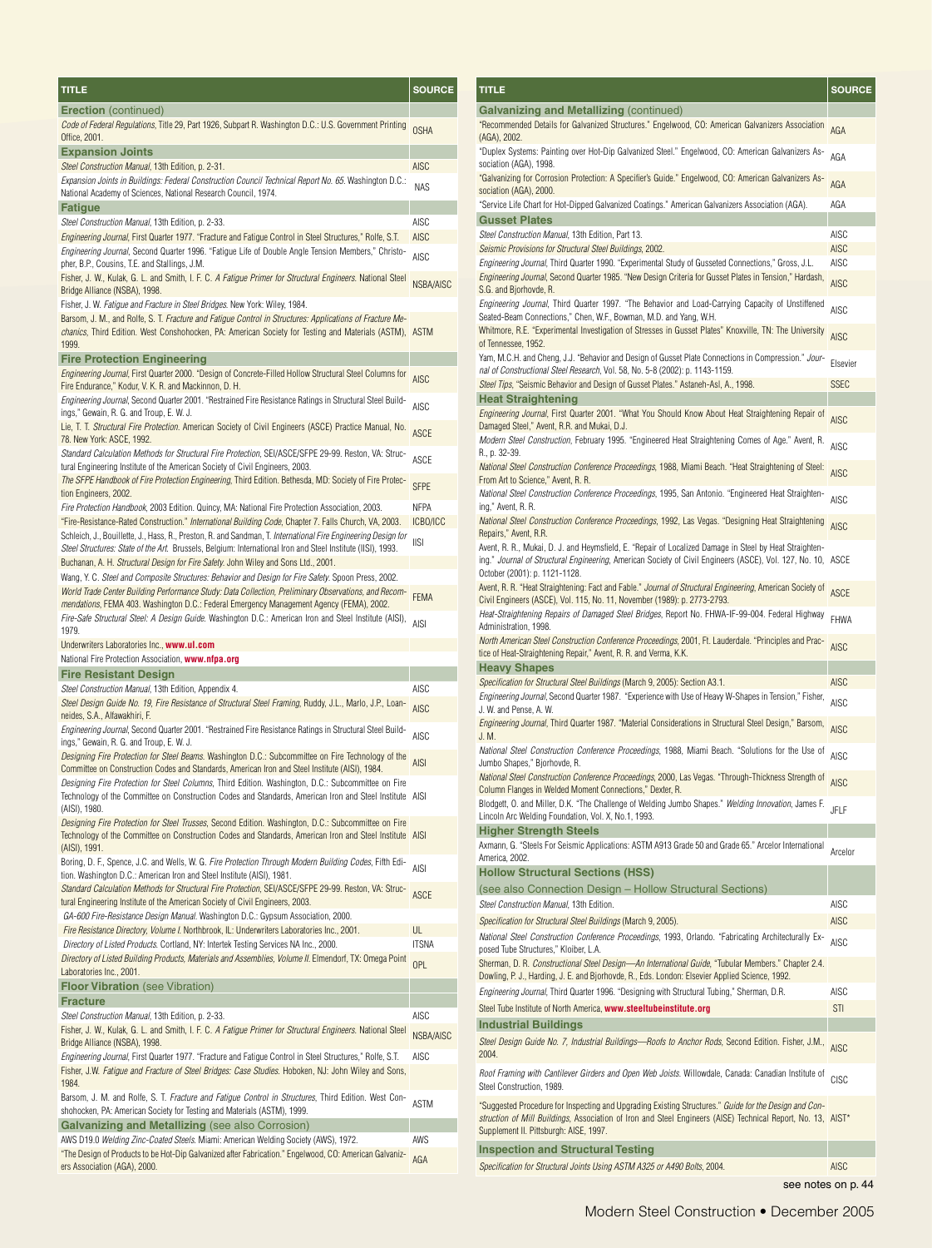| TITLE                                                                                                                                                                                                                                                                                                   | <b>SOURCE</b>    |
|---------------------------------------------------------------------------------------------------------------------------------------------------------------------------------------------------------------------------------------------------------------------------------------------------------|------------------|
| <b>Erection</b> (continued)                                                                                                                                                                                                                                                                             |                  |
| Code of Federal Regulations, Title 29, Part 1926, Subpart R. Washington D.C.: U.S. Government Printing<br>Office, 2001.                                                                                                                                                                                 | <b>OSHA</b>      |
| <b>Expansion Joints</b>                                                                                                                                                                                                                                                                                 |                  |
| Steel Construction Manual, 13th Edition, p. 2-31.                                                                                                                                                                                                                                                       | <b>AISC</b>      |
| Expansion Joints in Buildings: Federal Construction Council Technical Report No. 65. Washington D.C.:<br>National Academy of Sciences, National Research Council, 1974.                                                                                                                                 | <b>NAS</b>       |
| Fatigue                                                                                                                                                                                                                                                                                                 |                  |
| Steel Construction Manual, 13th Edition, p. 2-33.                                                                                                                                                                                                                                                       | AISC             |
| Engineering Journal, First Quarter 1977. "Fracture and Fatigue Control in Steel Structures," Rolfe, S.T.                                                                                                                                                                                                | <b>AISC</b>      |
| Engineering Journal, Second Quarter 1996. "Fatigue Life of Double Angle Tension Members," Christo-<br>pher, B.P., Cousins, T.E. and Stallings, J.M.                                                                                                                                                     | AISC             |
| Fisher, J. W., Kulak, G. L. and Smith, I. F. C. A Fatigue Primer for Structural Engineers. National Steel                                                                                                                                                                                               | NSBA/AISC        |
| Bridge Alliance (NSBA), 1998.<br>Fisher, J. W. Fatigue and Fracture in Steel Bridges. New York: Wiley, 1984.                                                                                                                                                                                            |                  |
| Barsom, J. M., and Rolfe, S. T. Fracture and Fatigue Control in Structures: Applications of Fracture Me-<br>chanics, Third Edition. West Conshohocken, PA: American Society for Testing and Materials (ASTM), ASTM<br>1999.                                                                             |                  |
| <b>Fire Protection Engineering</b>                                                                                                                                                                                                                                                                      |                  |
| Engineering Journal, First Quarter 2000. "Design of Concrete-Filled Hollow Structural Steel Columns for<br>Fire Endurance," Kodur, V. K. R. and Mackinnon, D. H.                                                                                                                                        | AISC             |
| Engineering Journal, Second Quarter 2001. "Restrained Fire Resistance Ratings in Structural Steel Build-<br>ings," Gewain, R. G. and Troup, E. W. J.                                                                                                                                                    | AISC             |
| Lie, T. T. Structural Fire Protection. American Society of Civil Engineers (ASCE) Practice Manual, No.                                                                                                                                                                                                  | ASCE             |
| 78. New York: ASCE, 1992.<br>Standard Calculation Methods for Structural Fire Protection, SEI/ASCE/SFPE 29-99. Reston, VA: Struc-                                                                                                                                                                       | ASCE             |
| tural Engineering Institute of the American Society of Civil Engineers, 2003.<br>The SFPE Handbook of Fire Protection Engineering, Third Edition. Bethesda, MD: Society of Fire Protec-                                                                                                                 |                  |
| tion Engineers, 2002.                                                                                                                                                                                                                                                                                   | <b>SFPE</b>      |
| Fire Protection Handbook, 2003 Edition. Quincy, MA: National Fire Protection Association, 2003.<br>"Fire-Resistance-Rated Construction." International Building Code, Chapter 7. Falls Church, VA, 2003.                                                                                                | NFPA<br>ICBO/ICC |
| Schleich, J., Bouillette, J., Hass, R., Preston, R. and Sandman, T. International Fire Engineering Design for<br>Steel Structures: State of the Art. Brussels, Belgium: International Iron and Steel Institute (IISI), 1993.                                                                            | <b>IISI</b>      |
| Buchanan, A. H. Structural Design for Fire Safety. John Wiley and Sons Ltd., 2001.                                                                                                                                                                                                                      |                  |
| Wang, Y. C. Steel and Composite Structures: Behavior and Design for Fire Safety. Spoon Press, 2002.<br>World Trade Center Building Performance Study: Data Collection, Preliminary Observations, and Recom-<br>mendations, FEMA 403. Washington D.C.: Federal Emergency Management Agency (FEMA), 2002. | <b>FEMA</b>      |
| Fire-Safe Structural Steel: A Design Guide. Washington D.C.: American Iron and Steel Institute (AISI),<br>1979.                                                                                                                                                                                         | <b>AISI</b>      |
| Underwriters Laboratories Inc., <b>www.ul.com</b>                                                                                                                                                                                                                                                       |                  |
| National Fire Protection Association, www.nfpa.org                                                                                                                                                                                                                                                      |                  |
| Fire Resistant Design                                                                                                                                                                                                                                                                                   |                  |
| Steel Construction Manual, 13th Edition, Appendix 4.                                                                                                                                                                                                                                                    | AISC             |
| Steel Design Guide No. 19, Fire Resistance of Structural Steel Framing, Ruddy, J.L., Marlo, J.P., Loan-<br>neides, S.A., Alfawakhiri, F.                                                                                                                                                                | AISC             |
| -Engineering Journal, Second Quarter 2001. "Restrained Fire Resistance Ratings in Structural Steel Build<br>ings," Gewain, R. G. and Troup, E. W. J.                                                                                                                                                    | AISC             |
| Designing Fire Protection for Steel Beams. Washington D.C.: Subcommittee on Fire Technology of the<br>Committee on Construction Codes and Standards, American Iron and Steel Institute (AISI), 1984.                                                                                                    | <b>AISI</b>      |
| Designing Fire Protection for Steel Columns, Third Edition. Washington, D.C.: Subcommittee on Fire<br>Technology of the Committee on Construction Codes and Standards, American Iron and Steel Institute AISI<br>(AISI), 1980.                                                                          |                  |
| Designing Fire Protection for Steel Trusses, Second Edition. Washington, D.C.: Subcommittee on Fire<br>Technology of the Committee on Construction Codes and Standards, American Iron and Steel Institute AISI<br>(AISI), 1991.                                                                         |                  |
| Boring, D. F., Spence, J.C. and Wells, W. G. <i>Fire Protection Through Modern Building Codes</i> , Fifth Edi-<br>tion. Washington D.C.: American Iron and Steel Institute (AISI), 1981.                                                                                                                | AISI             |
| Standard Calculation Methods for Structural Fire Protection, SEI/ASCE/SFPE 29-99. Reston, VA: Struc-<br>tural Engineering Institute of the American Society of Civil Engineers, 2003.                                                                                                                   | <b>ASCE</b>      |
| GA-600 Fire-Resistance Design Manual. Washington D.C.: Gypsum Association, 2000.<br>Fire Resistance Directory, Volume I. Northbrook, IL: Underwriters Laboratories Inc., 2001.                                                                                                                          | UL               |
| Directory of Listed Products. Cortland, NY: Intertek Testing Services NA Inc., 2000.                                                                                                                                                                                                                    | <b>ITSNA</b>     |
| Directory of Listed Building Products, Materials and Assemblies, Volume II. Elmendorf, TX: Omega Point<br>Laboratories Inc., 2001.                                                                                                                                                                      | OPL              |
| <b>Floor Vibration</b> (see Vibration)                                                                                                                                                                                                                                                                  |                  |
| Fracture                                                                                                                                                                                                                                                                                                |                  |
| Steel Construction Manual, 13th Edition, p. 2-33.                                                                                                                                                                                                                                                       | AISC             |
| Fisher, J. W., Kulak, G. L. and Smith, I. F. C. <i>A Fatigue Primer for Structural Engineers</i> . National Steel<br>Bridge Alliance (NSBA), 1998.                                                                                                                                                      | NSBA/AISC        |
| Engineering Journal, First Quarter 1977. "Fracture and Fatigue Control in Steel Structures," Rolfe, S.T.<br>Fisher, J.W. Fatigue and Fracture of Steel Bridges: Case Studies. Hoboken, NJ: John Wiley and Sons,                                                                                         | AISC             |
| 1984.<br>Barsom, J. M. and Rolfe, S. T. <i>Fracture and Fatigue Control in Structures</i> , Third Edition. West Con-<br>shohocken, PA: American Society for Testing and Materials (ASTM), 1999.                                                                                                         | <b>ASTM</b>      |
| Galvanizing and Metallizing (see also Corrosion)                                                                                                                                                                                                                                                        |                  |
| AWS D19.0 Welding Zinc-Coated Steels. Miami: American Welding Society (AWS), 1972.                                                                                                                                                                                                                      | AWS              |
| "The Design of Products to be Hot-Dip Galvanized after Fabrication." Engelwood, CO: American Galvaniz-<br>ers Association (AGA), 2000.                                                                                                                                                                  | AGA              |

| TITLE                                                                                                                                                                                                                                                          | <b>SOURCE</b> |
|----------------------------------------------------------------------------------------------------------------------------------------------------------------------------------------------------------------------------------------------------------------|---------------|
| <b>Galvanizing and Metallizing (continued)</b>                                                                                                                                                                                                                 |               |
| "Recommended Details for Galvanized Structures." Engelwood, CO: American Galvanizers Association<br>(AGA), 2002.                                                                                                                                               | AGA           |
| "Duplex Systems: Painting over Hot-Dip Galvanized Steel." Engelwood, CO: American Galvanizers As-<br>sociation (AGA), 1998.                                                                                                                                    | AGA           |
| "Galvanizing for Corrosion Protection: A Specifier's Guide." Engelwood, CO: American Galvanizers As-<br>sociation (AGA), 2000.                                                                                                                                 | AGA           |
| "Service Life Chart for Hot-Dipped Galvanized Coatings." American Galvanizers Association (AGA).                                                                                                                                                               | AGA           |
| <b>Gusset Plates</b><br>Steel Construction Manual, 13th Edition, Part 13.                                                                                                                                                                                      | AISC          |
| Seismic Provisions for Structural Steel Buildings, 2002.                                                                                                                                                                                                       | <b>AISC</b>   |
| Engineering Journal, Third Quarter 1990. "Experimental Study of Gusseted Connections," Gross, J.L.                                                                                                                                                             | AISC          |
| <i>Engineering Journal</i> , Second Quarter 1985. "New Design Criteria for Gusset Plates in Tension," Hardash,<br>S.G. and Bjorhovde, R.                                                                                                                       | <b>AISC</b>   |
| Engineering Journal, Third Quarter 1997. "The Behavior and Load-Carrying Capacity of Unstiffened<br>Seated-Beam Connections," Chen, W.F., Bowman, M.D. and Yang, W.H.                                                                                          | <b>AISC</b>   |
| Whitmore, R.E. "Experimental Investigation of Stresses in Gusset Plates" Knoxville, TN: The University<br>of Tennessee, 1952.                                                                                                                                  | <b>AISC</b>   |
| Yam, M.C.H. and Cheng, J.J. "Behavior and Design of Gusset Plate Connections in Compression." Jour-<br>nal of Constructional Steel Research, Vol. 58, No. 5-8 (2002): p. 1143-1159.                                                                            | Elsevier      |
| Steel Tips, "Seismic Behavior and Design of Gusset Plates." Astaneh-Asl, A., 1998.                                                                                                                                                                             | <b>SSEC</b>   |
| <b>Heat Straightening</b><br>Engineering Journal, First Quarter 2001. "What You Should Know About Heat Straightening Repair of<br>Damaged Steel," Avent, R.R. and Mukai, D.J.                                                                                  | <b>AISC</b>   |
| Modern Steel Construction, February 1995. "Engineered Heat Straightening Comes of Age." Avent, R.<br>R., p. 32-39.                                                                                                                                             | AISC          |
| National Steel Construction Conference Proceedings, 1988, Miami Beach. "Heat Straightening of Steel:<br>From Art to Science," Avent, R. R.                                                                                                                     | <b>AISC</b>   |
| National Steel Construction Conference Proceedings, 1995, San Antonio. "Engineered Heat Straighten-<br>ing," Avent, R. R.                                                                                                                                      | <b>AISC</b>   |
| National Steel Construction Conference Proceedings, 1992, Las Vegas. "Designing Heat Straightening<br>Repairs," Avent, R.R.                                                                                                                                    | <b>AISC</b>   |
| Avent, R. R., Mukai, D. J. and Heymsfield, E. "Repair of Localized Damage in Steel by Heat Straighten-<br>ing." <i>Journal of Structural Engineering</i> , American Society of Civil Engineers (ASCE), Vol. 127, No. 10, ASCE<br>October (2001): p. 1121-1128. |               |
| Avent, R. R. "Heat Straightening: Fact and Fable." <i>Journal of Structural Engineering</i> , American Society of<br>Civil Engineers (ASCE), Vol. 115, No. 11, November (1989): p. 2773-2793.                                                                  | <b>ASCE</b>   |
| Heat-Straightening Repairs of Damaged Steel Bridges, Report No. FHWA-IF-99-004. Federal Highway<br>Administration, 1998.                                                                                                                                       | FHWA          |
| North American Steel Construction Conference Proceedings, 2001, Ft. Lauderdale. "Principles and Prac-<br>tice of Heat-Straightening Repair," Avent, R. R. and Verma, K.K.                                                                                      | <b>AISC</b>   |
| <b>Heavy Shapes</b><br>Specification for Structural Steel Buildings (March 9, 2005): Section A3.1.                                                                                                                                                             | AISC          |
| Engineering Journal, Second Quarter 1987. "Experience with Use of Heavy W-Shapes in Tension," Fisher,<br>J. W. and Pense, A. W.                                                                                                                                | <b>AISC</b>   |
| Engineering Journal, Third Quarter 1987. "Material Considerations in Structural Steel Design," Barsom,<br>J. M.                                                                                                                                                | <b>AISC</b>   |
| National Steel Construction Conference Proceedings, 1988, Miami Beach. "Solutions for the Use of<br>Jumbo Shapes," Bjorhovde, R.                                                                                                                               | AISC          |
| National Steel Construction Conference Proceedings, 2000, Las Vegas. "Through-Thickness Strength of<br>Column Flanges in Welded Moment Connections," Dexter, R.                                                                                                | <b>AISC</b>   |
| Blodgett, O. and Miller, D.K. "The Challenge of Welding Jumbo Shapes." Welding Innovation, James F.<br>Lincoln Arc Welding Foundation, Vol. X, No.1, 1993.                                                                                                     | JFLF          |
| <b>Higher Strength Steels</b>                                                                                                                                                                                                                                  |               |
| Axmann, G. "Steels For Seismic Applications: ASTM A913 Grade 50 and Grade 65." Arcelor International<br>America, 2002.                                                                                                                                         | Arcelor       |
| <b>Hollow Structural Sections (HSS)</b><br>(see also Connection Design – Hollow Structural Sections)                                                                                                                                                           |               |
| Steel Construction Manual, 13th Edition.                                                                                                                                                                                                                       | AISC          |
| Specification for Structural Steel Buildings (March 9, 2005).<br>National Steel Construction Conference Proceedings, 1993, Orlando. "Fabricating Architecturally Ex-                                                                                           | AISC          |
| posed Tube Structures," Kloiber, L.A.<br>Sherman, D. R. Constructional Steel Design-An International Guide, "Tubular Members." Chapter 2.4.                                                                                                                    | AISC          |
| Dowling, P. J., Harding, J. E. and Bjorhovde, R., Eds. London: Elsevier Applied Science, 1992.<br>Engineering Journal, Third Quarter 1996. "Designing with Structural Tubing," Sherman, D.R.                                                                   | AISC          |
| Steel Tube Institute of North America, www.steeltubeinstitute.org                                                                                                                                                                                              | <b>STI</b>    |
| <b>Industrial Buildings</b>                                                                                                                                                                                                                                    |               |
| Steel Design Guide No. 7, Industrial Buildings—Roofs to Anchor Rods, Second Edition. Fisher, J.M.,<br>2004.                                                                                                                                                    | AISC          |
| Roof Framing with Cantilever Girders and Open Web Joists. Willowdale, Canada: Canadian Institute of<br>Steel Construction, 1989.                                                                                                                               | CISC          |
| "Suggested Procedure for Inspecting and Upgrading Existing Structures." Guide for the Design and Con-<br>struction of Mill Buildings, Association of Iron and Steel Engineers (AISE) Technical Report, No. 13, AIST*<br>Supplement II. Pittsburgh: AISE, 1997. |               |
| <b>Inspection and Structural Testing</b>                                                                                                                                                                                                                       |               |
| Specification for Structural Joints Using ASTM A325 or A490 Bolts, 2004.                                                                                                                                                                                       | <b>AISC</b>   |

see notes on p. 44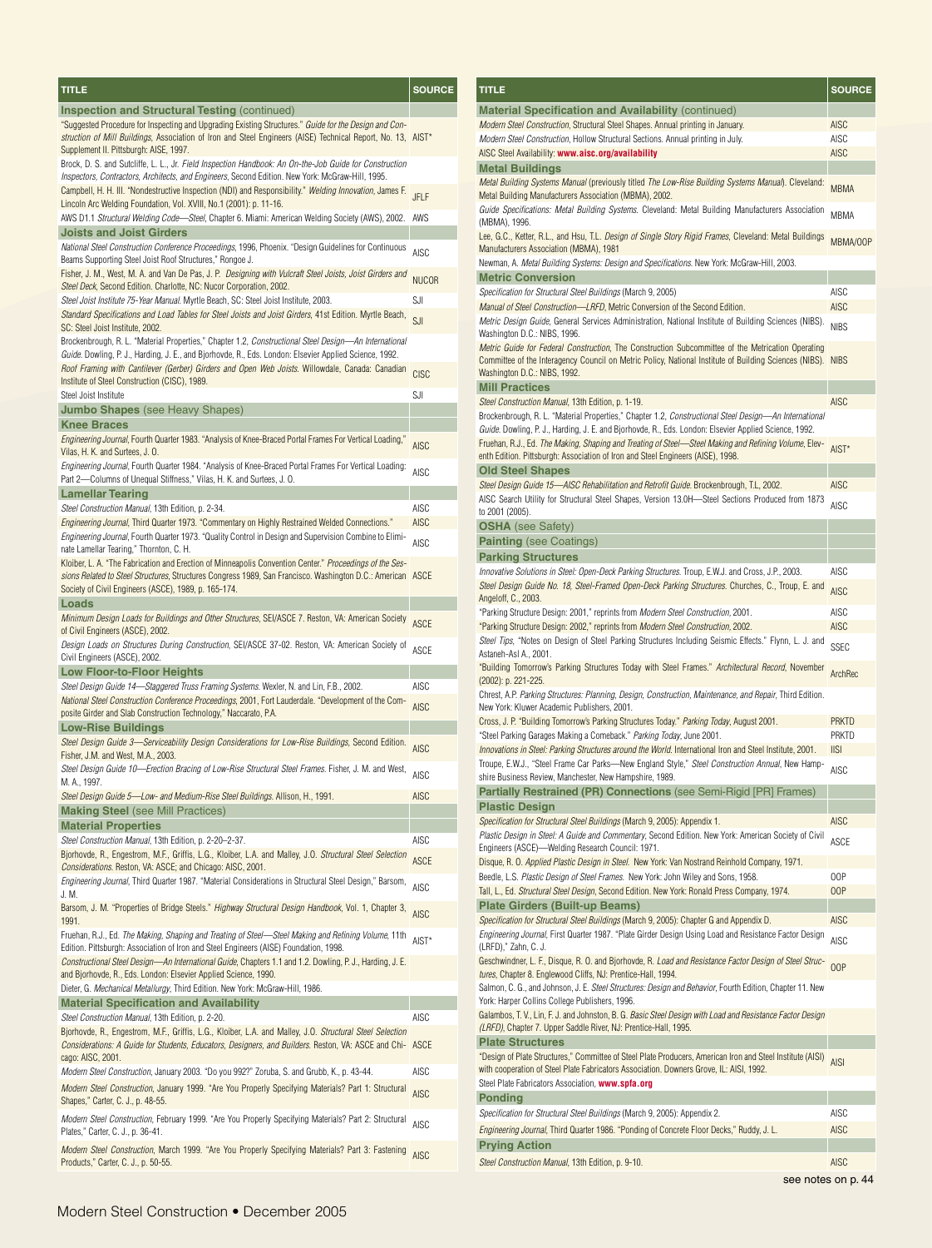| TITLE                                                                                                                                                                                                                                                                         | <b>SOURCE</b>              |
|-------------------------------------------------------------------------------------------------------------------------------------------------------------------------------------------------------------------------------------------------------------------------------|----------------------------|
| <b>Inspection and Structural Testing (continued)</b>                                                                                                                                                                                                                          |                            |
| "Suggested Procedure for Inspecting and Upgrading Existing Structures." Guide for the Design and Con-<br>struction of Mill Buildings, Association of Iron and Steel Engineers (AISE) Technical Report, No. 13, AIST*<br>Supplement II. Pittsburgh: AISE, 1997.                |                            |
| Brock, D. S. and Sutcliffe, L. L., Jr. Field Inspection Handbook: An On-the-Job Guide for Construction<br>Inspectors, Contractors, Architects, and Engineers, Second Edition. New York: McGraw-Hill, 1995.                                                                    |                            |
| Campbell, H. H. III. "Nondestructive Inspection (NDI) and Responsibility." Welding Innovation, James F.<br>Lincoln Arc Welding Foundation, Vol. XVIII, No.1 (2001): p. 11-16.                                                                                                 | JFLF                       |
| AWS D1.1 Structural Welding Code—Steel, Chapter 6. Miami: American Welding Society (AWS), 2002.                                                                                                                                                                               | AWS                        |
| <b>Joists and Joist Girders</b>                                                                                                                                                                                                                                               |                            |
| National Steel Construction Conference Proceedings, 1996, Phoenix. "Design Guidelines for Continuous<br>Beams Supporting Steel Joist Roof Structures," Rongoe J.                                                                                                              | <b>AISC</b>                |
| Fisher, J. M., West, M. A. and Van De Pas, J. P. Designing with Vulcraft Steel Joists, Joist Girders and<br>Steel Deck, Second Edition. Charlotte, NC: Nucor Corporation, 2002.                                                                                               | <b>NUCOR</b>               |
| Steel Joist Institute 75-Year Manual. Myrtle Beach, SC: Steel Joist Institute, 2003.                                                                                                                                                                                          | SJI                        |
| Standard Specifications and Load Tables for Steel Joists and Joist Girders, 41st Edition. Myrtle Beach,<br>SC: Steel Joist Institute, 2002.                                                                                                                                   | SJI                        |
| Brockenbrough, R. L. "Material Properties," Chapter 1.2, Constructional Steel Design—An International<br>Guide. Dowling, P. J., Harding, J. E., and Bjorhovde, R., Eds. London: Elsevier Applied Science, 1992.                                                               |                            |
| Roof Framing with Cantilever (Gerber) Girders and Open Web Joists. Willowdale, Canada: Canadian                                                                                                                                                                               | <b>CISC</b>                |
| Institute of Steel Construction (CISC), 1989.<br>Steel Joist Institute                                                                                                                                                                                                        | SJI                        |
| <b>Jumbo Shapes</b> (see Heavy Shapes)                                                                                                                                                                                                                                        |                            |
| <b>Knee Braces</b>                                                                                                                                                                                                                                                            |                            |
| ".Engineering Journal, Fourth Quarter 1983. "Analysis of Knee-Braced Portal Frames For Vertical Loading<br>Vilas, H. K. and Surtees, J. O.                                                                                                                                    | <b>AISC</b>                |
| Engineering Journal, Fourth Quarter 1984. "Analysis of Knee-Braced Portal Frames For Vertical Loading:<br>Part 2-Columns of Unequal Stiffness," Vilas, H. K. and Surtees, J. O.                                                                                               | <b>AISC</b>                |
| <b>Lamellar Tearing</b>                                                                                                                                                                                                                                                       |                            |
| Steel Construction Manual, 13th Edition, p. 2-34.                                                                                                                                                                                                                             | AISC                       |
| Engineering Journal, Third Quarter 1973. "Commentary on Highly Restrained Welded Connections."                                                                                                                                                                                | AISC                       |
| Engineering Journal, Fourth Quarter 1973. "Quality Control in Design and Supervision Combine to Elimi-<br>nate Lamellar Tearing," Thornton, C. H.                                                                                                                             | <b>AISC</b>                |
| Kloiber, L. A. "The Fabrication and Erection of Minneapolis Convention Center." Proceedings of the Ses-<br>sions Related to Steel Structures, Structures Congress 1989, San Francisco. Washington D.C.: American ASCE<br>Society of Civil Engineers (ASCE), 1989, p. 165-174. |                            |
| Loads                                                                                                                                                                                                                                                                         |                            |
| Minimum Design Loads for Buildings and Other Structures, SEI/ASCE 7. Reston, VA: American Society<br>of Civil Engineers (ASCE), 2002.                                                                                                                                         | <b>ASCE</b>                |
| Design Loads on Structures During Construction, SEI/ASCE 37-02. Reston, VA: American Society of<br>Civil Engineers (ASCE), 2002.                                                                                                                                              | ASCE                       |
| Low Floor-to-Floor Heights                                                                                                                                                                                                                                                    |                            |
| Steel Design Guide 14—Staggered Truss Framing Systems. Wexler, N. and Lin, F.B., 2002.<br>National Steel Construction Conference Proceedings, 2001, Fort Lauderdale. "Development of the Com-                                                                                 | <b>AISC</b><br><b>AISC</b> |
| posite Girder and Slab Construction Technology," Naccarato, P.A.<br><b>Low-Rise Buildings</b>                                                                                                                                                                                 |                            |
| Steel Design Guide 3—Serviceability Design Considerations for Low-Rise Buildings, Second Edition.<br>Fisher, J.M. and West, M.A., 2003.                                                                                                                                       | AISC                       |
| Steel Design Guide 10—Erection Bracing of Low-Rise Structural Steel Frames. Fisher, J. M. and West,<br>M. A., 1997.                                                                                                                                                           | <b>AISC</b>                |
| Steel Design Guide 5-Low- and Medium-Rise Steel Buildings. Allison, H., 1991.                                                                                                                                                                                                 | AISC                       |
| <b>Making Steel</b> (see Mill Practices)                                                                                                                                                                                                                                      |                            |
| <b>Material Properties</b>                                                                                                                                                                                                                                                    |                            |
| Steel Construction Manual, 13th Edition, p. 2-20-2-37.<br>Bjorhovde, R., Engestrom, M.F., Griffis, L.G., Kloiber, L.A. and Malley, J.O. Structural Steel Selection                                                                                                            | AISC<br><b>ASCE</b>        |
| Considerations. Reston, VA: ASCE; and Chicago: AISC, 2001.<br>Engineering Journal, Third Quarter 1987. "Material Considerations in Structural Steel Design," Barsom,                                                                                                          | AISC                       |
| J. M.<br>Barsom, J. M. "Properties of Bridge Steels." Highway Structural Design Handbook, Vol. 1, Chapter 3,                                                                                                                                                                  | <b>AISC</b>                |
| 1991.<br>Fruehan, R.J., Ed. The Making, Shaping and Treating of Steel—Steel Making and Refining Volume, 11th                                                                                                                                                                  | AIST*                      |
| Edition. Pittsburgh: Association of Iron and Steel Engineers (AISE) Foundation, 1998.<br>Constructional Steel Design—An International Guide, Chapters 1.1 and 1.2. Dowling, P. J., Harding, J. E.                                                                             |                            |
| and Bjorhovde, R., Eds. London: Elsevier Applied Science, 1990.<br>Dieter, G. Mechanical Metallurgy, Third Edition. New York: McGraw-Hill, 1986.                                                                                                                              |                            |
| <b>Material Specification and Availability</b>                                                                                                                                                                                                                                |                            |
| Steel Construction Manual, 13th Edition, p. 2-20.                                                                                                                                                                                                                             | AISC                       |
| Bjorhovde, R., Engestrom, M.F., Griffis, L.G., Kloiber, L.A. and Malley, J.O. Structural Steel Selection<br>Considerations: A Guide for Students, Educators, Designers, and Builders. Reston, VA: ASCE and Chi- ASCE                                                          |                            |
| cago: AISC, 2001.<br>Modern Steel Construction, January 2003. "Do you 992?" Zoruba, S. and Grubb, K., p. 43-44.                                                                                                                                                               | AISC                       |
| Modern Steel Construction, January 1999. "Are You Properly Specifying Materials? Part 1: Structural<br>Shapes," Carter, C. J., p. 48-55.                                                                                                                                      | AISC                       |
| Modern Steel Construction, February 1999. "Are You Properly Specifying Materials? Part 2: Structural<br>Plates," Carter, C. J., p. 36-41.                                                                                                                                     | AISC                       |
| Modern Steel Construction, March 1999. "Are You Properly Specifying Materials? Part 3: Fastening<br>Products," Carter, C. J., p. 50-55.                                                                                                                                       | <b>AISC</b>                |

| <u>T</u> ITLE                                                                                                                                                                                                                                            | <u>SOURCE</u>      |
|----------------------------------------------------------------------------------------------------------------------------------------------------------------------------------------------------------------------------------------------------------|--------------------|
| <b>Material Specification and Availability (continued)</b>                                                                                                                                                                                               |                    |
| Modern Steel Construction, Structural Steel Shapes. Annual printing in January.                                                                                                                                                                          | <b>AISC</b>        |
| Modern Steel Construction, Hollow Structural Sections. Annual printing in July.                                                                                                                                                                          | AISC               |
| AISC Steel Availability: www.aisc.org/availability                                                                                                                                                                                                       | <b>AISC</b>        |
| <b>Metal Buildings</b>                                                                                                                                                                                                                                   |                    |
| Metal Building Systems Manual (previously titled The Low-Rise Building Systems Manual). Cleveland:<br>Metal Building Manufacturers Association (MBMA), 2002.                                                                                             | <b>MBMA</b>        |
| Guide Specifications: Metal Building Systems. Cleveland: Metal Building Manufacturers Association<br>(MBMA), 1996.                                                                                                                                       | MBMA               |
| Lee, G.C., Ketter, R.L., and Hsu, T.L. Design of Single Story Rigid Frames, Cleveland: Metal Buildings<br>Manufacturers Association (MBMA), 1981                                                                                                         | MBMA/00P           |
| Newman, A. Metal Building Systems: Design and Specifications. New York: McGraw-Hill, 2003.                                                                                                                                                               |                    |
| <b>Metric Conversion</b>                                                                                                                                                                                                                                 |                    |
| Specification for Structural Steel Buildings (March 9, 2005)                                                                                                                                                                                             | AISC               |
| Manual of Steel Construction-LRFD, Metric Conversion of the Second Edition.                                                                                                                                                                              | <b>AISC</b>        |
| Metric Design Guide, General Services Administration, National Institute of Building Sciences (NIBS).<br>Washington D.C.: NIBS, 1996.                                                                                                                    | <b>NIBS</b>        |
| <i>Metric Guide for Federal Construction</i> , The Construction Subcommittee of the Metrication Operating<br>Committee of the Interagency Council on Metric Policy, National Institute of Building Sciences (NIBS). NIBS<br>Washington D.C.: NIBS, 1992. |                    |
| <b>Mill Practices</b>                                                                                                                                                                                                                                    |                    |
| Steel Construction Manual, 13th Edition, p. 1-19.                                                                                                                                                                                                        | <b>AISC</b>        |
| Brockenbrough, R. L. "Material Properties," Chapter 1.2, Constructional Steel Design-An International<br>Guide. Dowling, P. J., Harding, J. E. and Bjorhovde, R., Eds. London: Elsevier Applied Science, 1992.                                           |                    |
| Fruehan, R.J., Ed. The Making, Shaping and Treating of Steel-Steel Making and Refining Volume, Elev-<br>enth Edition. Pittsburgh: Association of Iron and Steel Engineers (AISE), 1998.                                                                  | AIST*              |
| <b>Old Steel Shapes</b>                                                                                                                                                                                                                                  |                    |
| Steel Design Guide 15-AISC Rehabilitation and Retrofit Guide. Brockenbrough, T.L. 2002.                                                                                                                                                                  | <b>AISC</b>        |
| AISC Search Utility for Structural Steel Shapes, Version 13.0H-Steel Sections Produced from 1873                                                                                                                                                         | AISC               |
| to 2001 (2005).                                                                                                                                                                                                                                          |                    |
| <b>OSHA</b> (see Safety)                                                                                                                                                                                                                                 |                    |
| <b>Painting (see Coatings)</b>                                                                                                                                                                                                                           |                    |
| <b>Parking Structures</b>                                                                                                                                                                                                                                |                    |
| Innovative Solutions in Steel: Open-Deck Parking Structures. Troup, E.W.J. and Cross, J.P., 2003.                                                                                                                                                        | AISC               |
| Steel Design Guide No. 18, Steel-Framed Open-Deck Parking Structures. Churches, C., Troup, E. and                                                                                                                                                        | <b>AISC</b>        |
| Angeloff, C., 2003.                                                                                                                                                                                                                                      |                    |
| "Parking Structure Design: 2001," reprints from Modern Steel Construction, 2001.                                                                                                                                                                         | AISC               |
| "Parking Structure Design: 2002," reprints from Modern Steel Construction, 2002.                                                                                                                                                                         | <b>AISC</b>        |
| Steel Tips, "Notes on Design of Steel Parking Structures Including Seismic Effects." Flynn, L. J. and<br>Astaneh-Asl A., 2001.                                                                                                                           | <b>SSEC</b>        |
| "Building Tomorrow's Parking Structures Today with Steel Frames." Architectural Record, November<br>(2002): p. 221-225.<br>Chrest, A.P. Parking Structures: Planning, Design, Construction, Maintenance, and Repair, Third Edition.                      | <b>ArchRec</b>     |
| New York: Kluwer Academic Publishers, 2001.<br>Cross, J. P. "Building Tomorrow's Parking Structures Today." Parking Today, August 2001.                                                                                                                  | <b>PRKTD</b>       |
| "Steel Parking Garages Making a Comeback." Parking Today, June 2001.                                                                                                                                                                                     | PRKTD              |
| Innovations in Steel: Parking Structures around the World. International Iron and Steel Institute, 2001.                                                                                                                                                 | <b>IISI</b>        |
| Troupe, E.W.J., "Steel Frame Car Parks—New England Style," <i>Steel Construction Annual</i> , New Hamp-                                                                                                                                                  |                    |
| shire Business Review, Manchester, New Hampshire, 1989.                                                                                                                                                                                                  | AISC               |
| Partially Restrained (PR) Connections (see Semi-Rigid [PR] Frames)                                                                                                                                                                                       |                    |
| Plastic Design                                                                                                                                                                                                                                           |                    |
| Specification for Structural Steel Buildings (March 9, 2005): Appendix 1.                                                                                                                                                                                | <b>AISC</b>        |
| Plastic Design in Steel: A Guide and Commentary, Second Edition. New York: American Society of Civil                                                                                                                                                     |                    |
| Engineers (ASCE)-Welding Research Council: 1971.                                                                                                                                                                                                         | ASCE               |
| Disque, R. O. Applied Plastic Design in Steel. New York: Van Nostrand Reinhold Company, 1971.                                                                                                                                                            |                    |
| Beedle, L.S. Plastic Design of Steel Frames. New York: John Wiley and Sons, 1958.                                                                                                                                                                        | 00P                |
| Tall, L., Ed. Structural Steel Design, Second Edition. New York: Ronald Press Company, 1974.                                                                                                                                                             | 00P                |
| <b>Plate Girders (Built-up Beams)</b>                                                                                                                                                                                                                    |                    |
| Specification for Structural Steel Buildings (March 9, 2005): Chapter G and Appendix D.                                                                                                                                                                  | <b>AISC</b>        |
| Engineering Journal, First Quarter 1987. "Plate Girder Design Using Load and Resistance Factor Design<br>(LRFD)," Zahn, C. J.                                                                                                                            | <b>AISC</b>        |
| Geschwindner, L. F., Disque, R. O. and Bjorhovde, R. Load and Resistance Factor Design of Steel Struc-<br>tures, Chapter 8. Englewood Cliffs, NJ: Prentice-Hall, 1994.                                                                                   | 00P                |
| Salmon, C. G., and Johnson, J. E. Steel Structures: Design and Behavior, Fourth Edition, Chapter 11. New<br>York: Harper Collins College Publishers, 1996.                                                                                               |                    |
| Galambos, T. V., Lin, F. J. and Johnston, B. G. Basic Steel Design with Load and Resistance Factor Design<br>(LRFD), Chapter 7. Upper Saddle River, NJ: Prentice-Hall, 1995.                                                                             |                    |
| <b>Plate Structures</b>                                                                                                                                                                                                                                  |                    |
| "Design of Plate Structures," Committee of Steel Plate Producers, American Iron and Steel Institute (AISI)<br>with cooperation of Steel Plate Fabricators Association. Downers Grove, IL: AISI, 1992.                                                    | <b>AISI</b>        |
| Steel Plate Fabricators Association, www.spfa.org                                                                                                                                                                                                        |                    |
| <b>Ponding</b>                                                                                                                                                                                                                                           |                    |
| Specification for Structural Steel Buildings (March 9, 2005): Appendix 2.                                                                                                                                                                                | AISC               |
| Engineering Journal, Third Quarter 1986. "Ponding of Concrete Floor Decks," Ruddy, J. L.                                                                                                                                                                 | <b>AISC</b>        |
| <b>Prying Action</b>                                                                                                                                                                                                                                     |                    |
| Steel Construction Manual, 13th Edition, p. 9-10.                                                                                                                                                                                                        | AISC               |
|                                                                                                                                                                                                                                                          | see notes on p. 44 |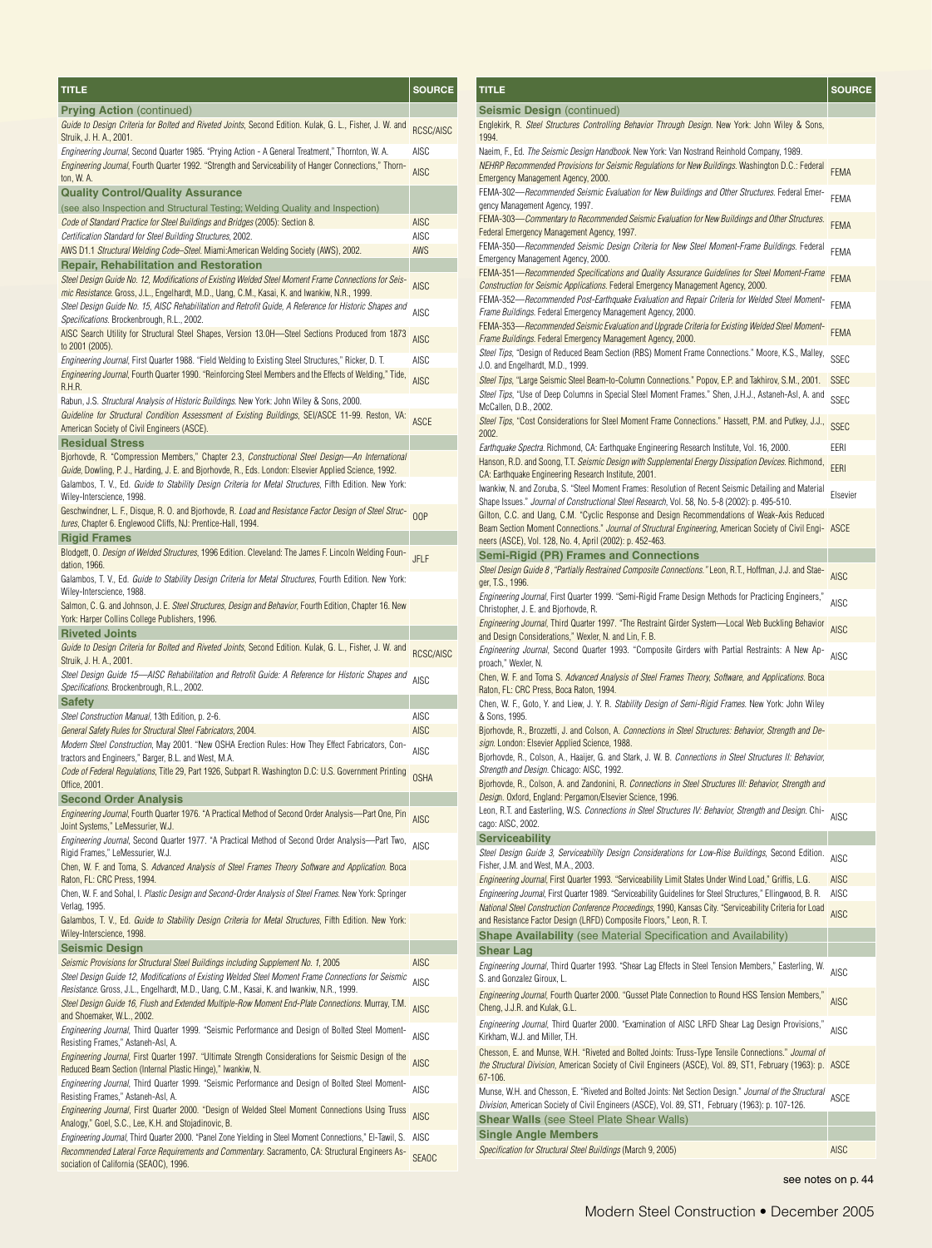| TITLE                                                                                                                                                                                                                                                 | <b>SOURCE</b>       |
|-------------------------------------------------------------------------------------------------------------------------------------------------------------------------------------------------------------------------------------------------------|---------------------|
| <b>Prying Action (continued)</b>                                                                                                                                                                                                                      |                     |
| Guide to Design Criteria for Bolted and Riveted Joints, Second Edition. Kulak, G. L., Fisher, J. W. and                                                                                                                                               | RCSC/AISC           |
| Struik, J. H. A., 2001.                                                                                                                                                                                                                               |                     |
| Engineering Journal, Second Quarter 1985. "Prying Action - A General Treatment," Thornton, W. A.<br>Engineering Journal, Fourth Quarter 1992. "Strength and Serviceability of Hanger Connections," Thorn-                                             | AISC                |
| ton, W. A.                                                                                                                                                                                                                                            | AISC                |
| <b>Quality Control/Quality Assurance</b>                                                                                                                                                                                                              |                     |
| (see also Inspection and Structural Testing; Welding Quality and Inspection)                                                                                                                                                                          |                     |
| Code of Standard Practice for Steel Buildings and Bridges (2005): Section 8.<br>Certification Standard for Steel Building Structures, 2002.                                                                                                           | <b>AISC</b><br>AISC |
| AWS D1.1 Structural Welding Code-Steel. Miami:American Welding Society (AWS), 2002.                                                                                                                                                                   | AWS                 |
| <b>Repair, Rehabilitation and Restoration</b>                                                                                                                                                                                                         |                     |
| Steel Design Guide No. 12, Modifications of Existing Welded Steel Moment Frame Connections for Seis-                                                                                                                                                  | AISC                |
| mic Resistance. Gross, J.L., Engelhardt, M.D., Uang, C.M., Kasai, K. and Iwankiw, N.R., 1999.<br>Steel Design Guide No. 15, AISC Rehabilitation and Retrofit Guide, A Reference for Historic Shapes and<br>Specifications. Brockenbrough, R.L., 2002. | AISC                |
| AISC Search Utility for Structural Steel Shapes, Version 13.0H-Steel Sections Produced from 1873<br>to 2001 (2005).                                                                                                                                   | <b>AISC</b>         |
| Engineering Journal, First Quarter 1988. "Field Welding to Existing Steel Structures," Ricker, D. T.                                                                                                                                                  | AISC                |
| <i>Engineering Journal</i> , Fourth Quarter 1990. "Reinforcing Steel Members and the Effects of Welding," Tide,<br>R.H.R.                                                                                                                             | AISC                |
| Rabun, J.S. Structural Analysis of Historic Buildings. New York: John Wiley & Sons, 2000.<br>Guideline for Structural Condition Assessment of Existing Buildings, SEI/ASCE 11-99. Reston, VA:<br>American Society of Civil Engineers (ASCE).          | <b>ASCE</b>         |
| <b>Residual Stress</b><br>Bjorhovde, R. "Compression Members," Chapter 2.3, Constructional Steel Design—An International<br>Guide, Dowling, P. J., Harding, J. E. and Bjorhovde, R., Eds. London: Elsevier Applied Science, 1992.                     |                     |
| Galambos, T. V., Ed. Guide to Stability Design Criteria for Metal Structures, Fifth Edition. New York:<br>Wiley-Interscience, 1998.                                                                                                                   |                     |
| Geschwindner, L. F., Disque, R. O. and Bjorhovde, R. Load and Resistance Factor Design of Steel Struc-<br>tures, Chapter 6. Englewood Cliffs, NJ: Prentice-Hall, 1994.                                                                                | 00P                 |
| <b>Rigid Frames</b>                                                                                                                                                                                                                                   |                     |
| -Blodgett, O. <i>Design of Welded Structures</i> , 1996 Edition. Cleveland: The James F. Lincoln Welding Foun<br>dation, 1966.                                                                                                                        | <b>JFLF</b>         |
| Galambos, T. V., Ed. Guide to Stability Design Criteria for Metal Structures, Fourth Edition. New York:<br>Wiley-Interscience, 1988.                                                                                                                  |                     |
| Salmon, C. G. and Johnson, J. E. <i>Steel Structures, Design and Behavior</i> , Fourth Edition, Chapter 16. New                                                                                                                                       |                     |
| York: Harper Collins College Publishers, 1996.                                                                                                                                                                                                        |                     |
| <b>Riveted Joints</b><br>Guide to Design Criteria for Bolted and Riveted Joints, Second Edition. Kulak, G. L., Fisher, J. W. and                                                                                                                      |                     |
| Struik, J. H. A., 2001.                                                                                                                                                                                                                               | <b>RCSC/AISC</b>    |
| Steel Design Guide 15—AISC Rehabilitation and Retrofit Guide: A Reference for Historic Shapes and                                                                                                                                                     | <b>AISC</b>         |
| Specifications. Brockenbrough, R.L., 2002.<br><b>Safety</b>                                                                                                                                                                                           |                     |
| Steel Construction Manual, 13th Edition, p. 2-6.                                                                                                                                                                                                      | AISC                |
| General Safety Rules for Structural Steel Fabricators, 2004.                                                                                                                                                                                          | <b>AISC</b>         |
| Modern Steel Construction, May 2001. "New OSHA Erection Rules: How They Effect Fabricators, Con-<br>tractors and Engineers," Barger, B.L. and West, M.A.                                                                                              | AISC                |
| Code of Federal Regulations, Title 29, Part 1926, Subpart R. Washington D.C: U.S. Government Printing<br>Office, 2001.                                                                                                                                | <b>OSHA</b>         |
| <b>Second Order Analysis</b>                                                                                                                                                                                                                          |                     |
| Engineering Journal, Fourth Quarter 1976. "A Practical Method of Second Order Analysis-Part One, Pin<br>Joint Systems," LeMessurier, W.J.<br>Engineering Journal, Second Quarter 1977. "A Practical Method of Second Order Analysis-Part Two,         | AISC                |
| Rigid Frames," LeMessurier, W.J.<br>Chen, W. F. and Toma, S. Advanced Analysis of Steel Frames Theory Software and Application. Boca                                                                                                                  | <b>AISC</b>         |
| Raton, FL: CRC Press, 1994.<br>Chen, W. F. and Sohal, I. <i>Plastic Design and Second-Order Analysis of Steel Frames</i> . New York: Springer                                                                                                         |                     |
| Verlag, 1995.<br>Galambos, T. V., Ed. <i>Guide to Stability Design Criteria for Metal Structures</i> , Fifth Edition. New York:                                                                                                                       |                     |
| Wiley-Interscience, 1998.                                                                                                                                                                                                                             |                     |
| <b>Seismic Design</b><br>Seismic Provisions for Structural Steel Buildings including Supplement No. 1, 2005                                                                                                                                           | <b>AISC</b>         |
| Steel Design Guide 12, Modifications of Existing Welded Steel Moment Frame Connections for Seismic                                                                                                                                                    |                     |
| Resistance. Gross, J.L., Engelhardt, M.D., Uang, C.M., Kasai, K. and Iwankiw, N.R., 1999.<br>Steel Design Guide 16, Flush and Extended Multiple-Row Moment End-Plate Connections. Murray, T.M.                                                        | AISC                |
| and Shoemaker, W.L., 2002.<br>Engineering Journal, Third Quarter 1999. "Seismic Performance and Design of Bolted Steel Moment-                                                                                                                        | <b>AISC</b>         |
| Resisting Frames," Astaneh-AsI, A.<br>Engineering Journal, First Quarter 1997. "Ultimate Strength Considerations for Seismic Design of the                                                                                                            | AISC                |
| Reduced Beam Section (Internal Plastic Hinge)," Iwankiw, N.                                                                                                                                                                                           | <b>AISC</b>         |
| Engineering Journal, Third Quarter 1999. "Seismic Performance and Design of Bolted Steel Moment-<br>Resisting Frames," Astaneh-AsI, A.                                                                                                                | AISC                |
| Engineering Journal, First Quarter 2000. "Design of Welded Steel Moment Connections Using Truss<br>Analogy," Goel, S.C., Lee, K.H. and Stojadinovic, B.                                                                                               | <b>AISC</b>         |
| Engineering Journal, Third Quarter 2000. "Panel Zone Yielding in Steel Moment Connections," El-Tawil, S.                                                                                                                                              | AISC                |
| Recommended Lateral Force Requirements and Commentary. Sacramento, CA: Structural Engineers As-<br>sociation of California (SEAOC), 1996.                                                                                                             | <b>SEAOC</b>        |

| TITLE                                                                                                                                                                                                                         | <b>SOURCE</b>       |
|-------------------------------------------------------------------------------------------------------------------------------------------------------------------------------------------------------------------------------|---------------------|
| <b>Seismic Design (continued)</b>                                                                                                                                                                                             |                     |
| Englekirk, R. Steel Structures Controlling Behavior Through Design. New York: John Wiley & Sons,<br>1994.                                                                                                                     |                     |
| Naeim, F., Ed. The Seismic Design Handbook. New York: Van Nostrand Reinhold Company, 1989.<br>NEHRP Recommended Provisions for Seismic Regulations for New Buildings. Washington D.C.: Federal                                |                     |
| Emergency Management Agency, 2000.<br>FEMA-302-Recommended Seismic Evaluation for New Buildings and Other Structures. Federal Emer-                                                                                           | <b>FEMA</b>         |
| gency Management Agency, 1997.<br>FEMA-303-Commentary to Recommended Seismic Evaluation for New Buildings and Other Structures.                                                                                               | <b>FEMA</b>         |
| Federal Emergency Management Agency, 1997.                                                                                                                                                                                    | <b>FEMA</b>         |
| FEMA-350-Recommended Seismic Design Criteria for New Steel Moment-Frame Buildings. Federal<br>Emergency Management Agency, 2000.                                                                                              | FEMA                |
| FEMA-351—Recommended Specifications and Quality Assurance Guidelines for Steel Moment-Frame<br>Construction for Seismic Applications. Federal Emergency Management Agency, 2000.                                              | <b>FEMA</b>         |
| FEMA-352-Recommended Post-Earthquake Evaluation and Repair Criteria for Welded Steel Moment-<br>Frame Buildings. Federal Emergency Management Agency, 2000.                                                                   | FEMA                |
| FEMA-353—Recommended Seismic Evaluation and Upgrade Criteria for Existing Welded Steel Moment-<br>Frame Buildings. Federal Emergency Management Agency, 2000.                                                                 | <b>FEMA</b>         |
| Steel Tips, "Design of Reduced Beam Section (RBS) Moment Frame Connections." Moore, K.S., Malley,<br>J.O. and Engelhardt, M.D., 1999.                                                                                         | SSEC                |
| Steel Tips, "Large Seismic Steel Beam-to-Column Connections." Popov, E.P. and Takhirov, S.M., 2001.                                                                                                                           | <b>SSEC</b>         |
| Steel Tips, "Use of Deep Columns in Special Steel Moment Frames." Shen, J.H.J., Astaneh-Asl, A. and                                                                                                                           | <b>SSEC</b>         |
| McCallen, D.B., 2002.<br>Steel Tips, "Cost Considerations for Steel Moment Frame Connections." Hassett, P.M. and Putkey, J.J.,                                                                                                | <b>SSEC</b>         |
| 2002.<br>Earthquake Spectra. Richmond, CA: Earthquake Engineering Research Institute, Vol. 16, 2000.                                                                                                                          | EERI                |
| Hanson, R.D. and Soong, T.T. Seismic Design with Supplemental Energy Dissipation Devices. Richmond,                                                                                                                           | <b>EERI</b>         |
| CA: Earthquake Engineering Research Institute, 2001.<br>Iwankiw, N. and Zoruba, S. "Steel Moment Frames: Resolution of Recent Seismic Detailing and Material                                                                  |                     |
| Shape Issues." Journal of Constructional Steel Research, Vol. 58, No. 5-8 (2002): p. 495-510.                                                                                                                                 | Elsevier            |
| Gilton, C.C. and Uang, C.M. "Cyclic Response and Design Recommendations of Weak-Axis Reduced<br>Beam Section Moment Connections." Journal of Structural Engineering, American Society of Civil Engi- ASCE                     |                     |
| neers (ASCE), Vol. 128, No. 4, April (2002): p. 452-463.<br><b>Semi-Rigid (PR) Frames and Connections</b>                                                                                                                     |                     |
| Steel Design Guide 8, "Partially Restrained Composite Connections." Leon, R.T., Hoffman, J.J. and Stae-                                                                                                                       | <b>AISC</b>         |
| ger, T.S., 1996.<br>",Engineering Journal, First Quarter 1999. "Semi-Rigid Frame Design Methods for Practicing Engineers,                                                                                                     | AISC                |
| Christopher, J. E. and Bjorhovde, R.<br><i>Engineering Journal</i> , Third Quarter 1997. "The Restraint Girder System—Local Web Buckling Behavior                                                                             | <b>AISC</b>         |
| and Design Considerations," Wexler, N. and Lin, F. B.<br>Engineering Journal, Second Quarter 1993. "Composite Girders with Partial Restraints: A New Ap-                                                                      | <b>AISC</b>         |
| proach," Wexler, N.<br>Chen, W. F. and Toma S. Advanced Analysis of Steel Frames Theory, Software, and Applications. Boca                                                                                                     |                     |
| Raton, FL: CRC Press, Boca Raton, 1994.<br>Chen, W. F., Goto, Y. and Liew, J. Y. R. Stability Design of Semi-Rigid Frames. New York: John Wiley                                                                               |                     |
| & Sons, 1995.<br>Bjorhovde, R., Brozzetti, J. and Colson, A. Connections in Steel Structures: Behavior, Strength and De-                                                                                                      |                     |
| sign. London: Elsevier Applied Science, 1988.<br>Bjorhovde, R., Colson, A., Haaijer, G. and Stark, J. W. B. Connections in Steel Structures II: Behavior,                                                                     |                     |
| Strength and Design. Chicago: AISC, 1992.                                                                                                                                                                                     |                     |
| Bjorhovde, R., Colson, A. and Zandonini, R. Connections in Steel Structures III: Behavior, Strength and<br>Design. Oxford, England: Pergamon/Elsevier Science, 1996.                                                          |                     |
| Leon, R.T. and Easterling, W.S. Connections in Steel Structures IV: Behavior, Strength and Design. Chi-<br>cago: AISC, 2002.                                                                                                  | AISC                |
| <b>Serviceability</b>                                                                                                                                                                                                         |                     |
| Steel Design Guide 3, Serviceability Design Considerations for Low-Rise Buildings, Second Edition.<br>Fisher, J.M. and West, M.A., 2003.                                                                                      | AISC                |
| Engineering Journal, First Quarter 1993. "Serviceability Limit States Under Wind Load," Griffis, L.G.<br>Engineering Journal, First Quarter 1989. "Serviceability Guidelines for Steel Structures," Ellingwood, B. R.         | <b>AISC</b><br>AISC |
| National Steel Construction Conference Proceedings, 1990, Kansas City. "Serviceability Criteria for Load<br>and Resistance Factor Design (LRFD) Composite Floors," Leon, R. T.                                                | <b>AISC</b>         |
| <b>Shape Availability</b> (see Material Specification and Availability)                                                                                                                                                       |                     |
| <b>Shear Lag</b>                                                                                                                                                                                                              |                     |
| Engineering Journal, Third Quarter 1993. "Shear Lag Effects in Steel Tension Members," Easterling, W.<br>S. and Gonzalez Giroux, L.                                                                                           | <b>AISC</b>         |
| Engineering Journal, Fourth Quarter 2000. "Gusset Plate Connection to Round HSS Tension Members,"<br>Cheng, J.J.R. and Kulak, G.L.                                                                                            | <b>AISC</b>         |
| Engineering Journal, Third Quarter 2000. "Examination of AISC LRFD Shear Lag Design Provisions,"<br>Kirkham, W.J. and Miller, T.H.                                                                                            | <b>AISC</b>         |
| Chesson, E. and Munse, W.H. "Riveted and Bolted Joints: Truss-Type Tensile Connections." Journal of<br>the Structural Division, American Society of Civil Engineers (ASCE), Vol. 89, ST1, February (1963): p. ASCE<br>67-106. |                     |
| Munse, W.H. and Chesson, E. "Riveted and Bolted Joints: Net Section Design." Journal of the Structural<br>Division, American Society of Civil Engineers (ASCE), Vol. 89, ST1, February (1963): p. 107-126.                    | ASCE                |
| <b>Shear Walls</b> (see Steel Plate Shear Walls)                                                                                                                                                                              |                     |
| <b>Single Angle Members</b>                                                                                                                                                                                                   |                     |
| Specification for Structural Steel Buildings (March 9, 2005)                                                                                                                                                                  | <b>AISC</b>         |

see notes on p. 44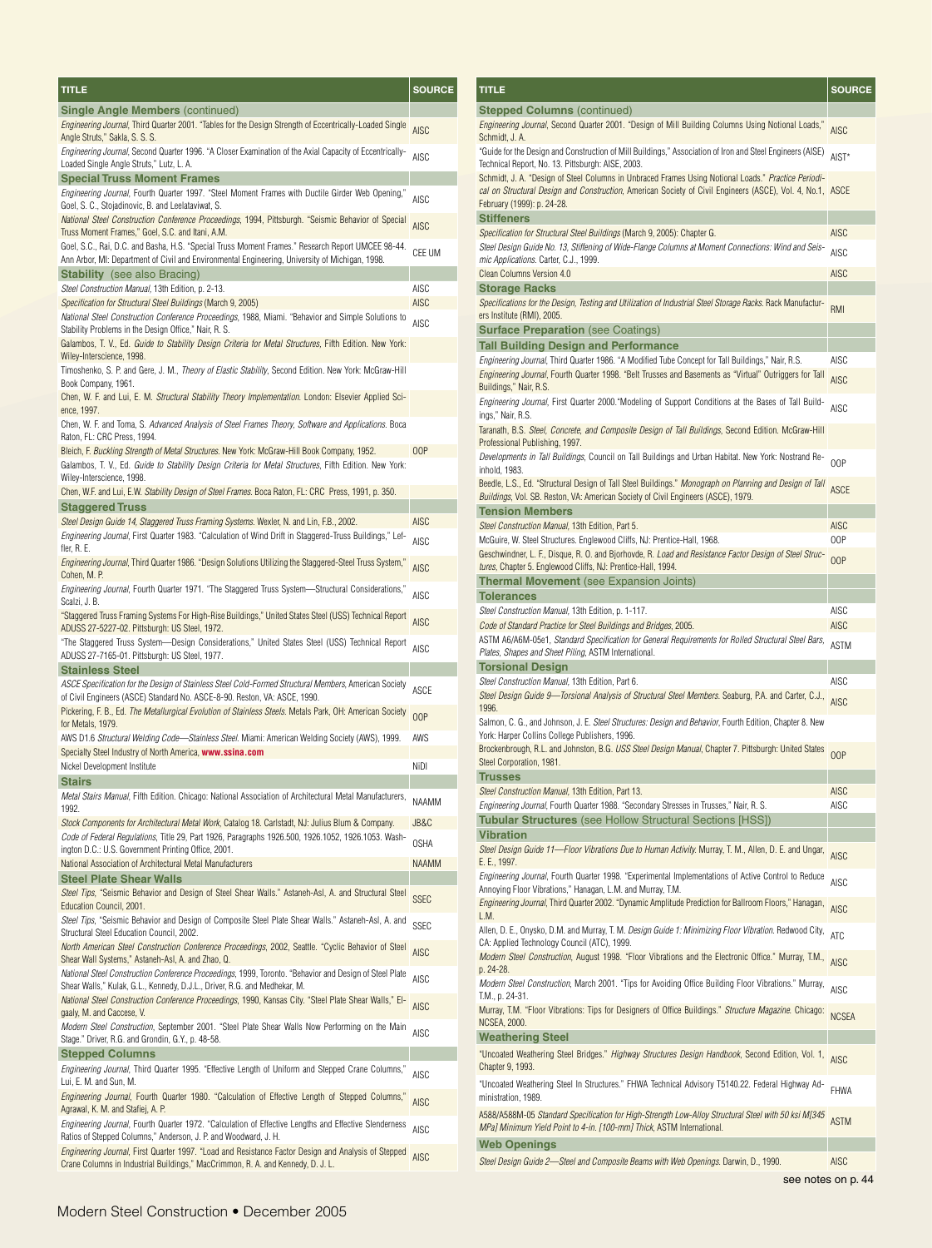| TITLE                                                                                                                                                                                                | <b>SOURCE</b> |
|------------------------------------------------------------------------------------------------------------------------------------------------------------------------------------------------------|---------------|
| <b>Single Angle Members (continued)</b>                                                                                                                                                              |               |
| Engineering Journal, Third Quarter 2001. "Tables for the Design Strength of Eccentrically-Loaded Single<br>Angle Struts," Sakla, S. S. S.                                                            | AISC          |
| Engineering Journal, Second Quarter 1996. "A Closer Examination of the Axial Capacity of Eccentrically-<br>Loaded Single Angle Struts," Lutz, L. A.                                                  | AISC          |
| <b>Special Truss Moment Frames</b>                                                                                                                                                                   |               |
| <i>Engineering Journal</i> , Fourth Quarter 1997. "Steel Moment Frames with Ductile Girder Web Opening,"<br>Goel, S. C., Stojadinovic, B. and Leelataviwat, S.                                       | <b>AISC</b>   |
| National Steel Construction Conference Proceedings, 1994, Pittsburgh. "Seismic Behavior of Special<br>Truss Moment Frames," Goel, S.C. and Itani, A.M.                                               | <b>AISC</b>   |
| Goel, S.C., Rai, D.C. and Basha, H.S. "Special Truss Moment Frames." Research Report UMCEE 98-44.<br>Ann Arbor, MI: Department of Civil and Environmental Engineering, University of Michigan, 1998. | CEE UM        |
| <b>Stability</b> (see also Bracing)                                                                                                                                                                  |               |
| Steel Construction Manual, 13th Edition, p. 2-13.                                                                                                                                                    | AISC          |
| Specification for Structural Steel Buildings (March 9, 2005)                                                                                                                                         | AISC          |
| <i>National Steel Construction Conference Proceedings</i> , 1988, Miami. "Behavior and Simple Solutions to<br>Stability Problems in the Design Office," Nair, R. S.                                  | <b>AISC</b>   |
| Galambos, T. V., Ed. <i>Guide to Stability Design Criteria for Metal Structures,</i> Fifth Edition. New York:<br>Wiley-Interscience, 1998.                                                           |               |
| Timoshenko, S. P. and Gere, J. M., <i>Theory of Elastic Stability</i> , Second Edition. New York: McGraw-Hill<br>Book Company, 1961.                                                                 |               |
| Chen, W. F. and Lui, E. M. <i>Structural Stability Theory Implementation</i> . London: Elsevier Applied Sci-<br>ence, 1997.                                                                          |               |
| Chen, W. F. and Toma, S. Advanced Analysis of Steel Frames Theory, Software and Applications. Boca<br>Raton, FL: CRC Press, 1994.                                                                    |               |
| Bleich, F. Buckling Strength of Metal Structures. New York: McGraw-Hill Book Company, 1952.                                                                                                          | 00P           |
| Galambos, T. V., Ed. <i>Guide to Stability Design Criteria for Metal Structures</i> , Fifth Edition. New York:<br>Wiley-Interscience, 1998.                                                          |               |
| Chen, W.F. and Lui, E.W. Stability Design of Steel Frames. Boca Raton, FL: CRC Press, 1991, p. 350.                                                                                                  |               |
| <b>Staggered Truss</b>                                                                                                                                                                               |               |
| Steel Design Guide 14, Staggered Truss Framing Systems. Wexler, N. and Lin, F.B., 2002.                                                                                                              | AISC          |
| Engineering Journal, First Quarter 1983. "Calculation of Wind Drift in Staggered-Truss Buildings," Lef-<br>fler, R. E.                                                                               | AISC          |
| "Engineering Journal, Third Quarter 1986. "Design Solutions Utilizing the Staggered-Steel Truss System,<br>Cohen, M. P.                                                                              | AISC          |
| <i>Engineering Journal</i> , Fourth Quarter 1971. "The Staggered Truss System—Structural Considerations,"<br>Scalzi, J. B.                                                                           | <b>AISC</b>   |
| "Staggered Truss Framing Systems For High-Rise Buildings," United States Steel (USS) Technical Report<br>ADUSS 27-5227-02. Pittsburgh: US Steel, 1972.                                               | <b>AISC</b>   |
| "The Staggered Truss System—Design Considerations," United States Steel (USS) Technical Report<br>ADUSS 27-7165-01. Pittsburgh: US Steel, 1977.                                                      | <b>AISC</b>   |
| <b>Stainless Steel</b>                                                                                                                                                                               |               |
| ASCE Specification for the Design of Stainless Steel Cold-Formed Structural Members, American Society<br>of Civil Engineers (ASCE) Standard No. ASCE-8-90. Reston, VA: ASCE, 1990.                   | ASCE          |
| Pickering, F. B., Ed. <i>The Metallurgical Evolution of Stainless Steels</i> . Metals Park, OH: American Society<br>for Metals, 1979.                                                                | 00P           |
| AWS D1.6 Structural Welding Code—Stainless Steel. Miami: American Welding Society (AWS), 1999.                                                                                                       | AWS           |
| Specialty Steel Industry of North America, www.ssina.com                                                                                                                                             |               |
| Nickel Development Institute                                                                                                                                                                         | Nidi          |
| Stairs                                                                                                                                                                                               |               |
| Metal Stairs Manual, Fifth Edition. Chicago: National Association of Architectural Metal Manufacturers,<br>1992.                                                                                     | NAAMM         |
| Stock Components for Architectural Metal Work, Catalog 18. Carlstadt, NJ: Julius Blum & Company.                                                                                                     | JB&C          |
| Code of Federal Regulations, Title 29, Part 1926, Paragraphs 1926.500, 1926.1052, 1926.1053. Wash-<br>ington D.C.: U.S. Government Printing Office, 2001.                                            | <b>OSHA</b>   |
| National Association of Architectural Metal Manufacturers                                                                                                                                            | <b>NAAMM</b>  |
| <b>Steel Plate Shear Walls</b>                                                                                                                                                                       |               |
| Steel Tips, "Seismic Behavior and Design of Steel Shear Walls." Astaneh-Asl, A. and Structural Steel<br>Education Council, 2001.                                                                     | <b>SSEC</b>   |
| Steel Tips, "Seismic Behavior and Design of Composite Steel Plate Shear Walls." Astaneh-Asl, A. and<br>Structural Steel Education Council, 2002.                                                     | SSEC          |
| North American Steel Construction Conference Proceedings, 2002, Seattle. "Cyclic Behavior of Steel<br>Shear Wall Systems," Astaneh-Asl, A. and Zhao, Q.                                              | AISC          |
| National Steel Construction Conference Proceedings, 1999, Toronto. "Behavior and Design of Steel Plate<br>Shear Walls," Kulak, G.L., Kennedy, D.J.L., Driver, R.G. and Medhekar, M.                  | AISC          |
| National Steel Construction Conference Proceedings, 1990, Kansas City. "Steel Plate Shear Walls," El-<br>gaaly, M. and Caccese, V.                                                                   | <b>AISC</b>   |
| Modern Steel Construction, September 2001. "Steel Plate Shear Walls Now Performing on the Main<br>Stage." Driver, R.G. and Grondin, G.Y., p. 48-58.                                                  | AISC          |
| <b>Stepped Columns</b>                                                                                                                                                                               |               |
| Engineering Journal, Third Quarter 1995. "Effective Length of Uniform and Stepped Crane Columns,"<br>Lui, E. M. and Sun, M.                                                                          | AISC          |
| Engineering Journal, Fourth Quarter 1980. "Calculation of Effective Length of Stepped Columns,"<br>Agrawal, K. M. and Stafiej, A. P.                                                                 | <b>AISC</b>   |
| Engineering Journal, Fourth Quarter 1972. "Calculation of Effective Lengths and Effective Slenderness<br>Ratios of Stepped Columns," Anderson, J. P. and Woodward, J. H.                             | <b>AISC</b>   |
| Engineering Journal, First Quarter 1997. "Load and Resistance Factor Design and Analysis of Stepped<br>Crane Columns in Industrial Buildings," MacCrimmon, R. A. and Kennedy, D. J. L.               | <b>AISC</b>   |

| <u>TI</u> TLE                                                                                                                                                                                                                                  | <b>SOURCE</b> |
|------------------------------------------------------------------------------------------------------------------------------------------------------------------------------------------------------------------------------------------------|---------------|
| <b>Stepped Columns (continued)</b>                                                                                                                                                                                                             |               |
| <i>Engineering Journal</i> , Second Quarter 2001. "Design of Mill Building Columns Using Notional Loads,"<br>Schmidt, J. A.                                                                                                                    | <b>AISC</b>   |
| "Guide for the Design and Construction of Mill Buildings," Association of Iron and Steel Engineers (AISE)<br>Technical Report, No. 13. Pittsburgh: AISE, 2003.                                                                                 | AIST*         |
| Schmidt, J. A. "Design of Steel Columns in Unbraced Frames Using Notional Loads." Practice Periodi-<br>cal on Structural Design and Construction, American Society of Civil Engineers (ASCE), Vol. 4, No.1, ASCE<br>February (1999): p. 24-28. |               |
| Stiffeners                                                                                                                                                                                                                                     |               |
| Specification for Structural Steel Buildings (March 9, 2005): Chapter G.                                                                                                                                                                       | <b>AISC</b>   |
| -Steel Design Guide No. 13, Stiffening of Wide-Flange Columns at Moment Connections: Wind and Seis                                                                                                                                             | <b>AISC</b>   |
| mic Applications. Carter, C.J., 1999.<br><b>Clean Columns Version 4.0</b>                                                                                                                                                                      | AISC          |
| <b>Storage Racks</b>                                                                                                                                                                                                                           |               |
| Specifications for the Design, Testing and Utilization of Industrial Steel Storage Racks. Rack Manufactur-<br>ers Institute (RMI), 2005.                                                                                                       | <b>RMI</b>    |
| <b>Surface Preparation</b> (see Coatings)                                                                                                                                                                                                      |               |
| Tall Building Design and Performance                                                                                                                                                                                                           |               |
| <i>Engineering Journal</i> , Third Quarter 1986. "A Modified Tube Concept for Tall Buildings," Nair, R.S.                                                                                                                                      | AISC          |
| Engineering Journal, Fourth Quarter 1998. "Belt Trusses and Basements as "Virtual" Outriggers for Tall<br>Buildings," Nair, R.S.                                                                                                               |               |
| Engineering Journal, First Quarter 2000. "Modeling of Support Conditions at the Bases of Tall Build-<br>ings," Nair, R.S.                                                                                                                      | <b>AISC</b>   |
| Taranath, B.S. <i>Steel, Concrete, and Composite Design of Tall Buildings</i> , Second Edition. McGraw-Hill<br>Professional Publishing, 1997.                                                                                                  |               |
| Developments in Tall Buildings, Council on Tall Buildings and Urban Habitat. New York: Nostrand Re-<br>inhold, 1983.<br>Beedle, L.S., Ed. "Structural Design of Tall Steel Buildings." <i>Monograph on Planning and Design of Tall</i>         | 00P           |
| Buildings, Vol. SB. Reston, VA: American Society of Civil Engineers (ASCE), 1979.                                                                                                                                                              | <b>ASCE</b>   |
| <b>Tension Members</b><br>Steel Construction Manual, 13th Edition, Part 5.                                                                                                                                                                     | <b>AISC</b>   |
| McGuire, W. Steel Structures. Englewood Cliffs, NJ: Prentice-Hall, 1968.                                                                                                                                                                       | 00P           |
| Geschwindner, L. F., Disque, R. O. and Bjorhovde, R. <i>Load and Resistance Factor Design of Steel Struc-</i><br>tures, Chapter 5. Englewood Cliffs, NJ: Prentice-Hall, 1994.                                                                  | 00P           |
| <b>Thermal Movement</b> (see Expansion Joints)                                                                                                                                                                                                 |               |
| <b>Tolerances</b>                                                                                                                                                                                                                              |               |
| Steel Construction Manual, 13th Edition, p. 1-117.                                                                                                                                                                                             | AISC          |
| Code of Standard Practice for Steel Buildings and Bridges, 2005.                                                                                                                                                                               | AISC          |
| ASTM A6/A6M-05e1, <i>Standard Specification for General Requirements for Rolled Structural Steel Bars</i> ,<br>Plates, Shapes and Sheet Piling, ASTM International.<br><b>Torsional Design</b>                                                 | ASTM          |
| Steel Construction Manual, 13th Edition, Part 6.                                                                                                                                                                                               | AISC          |
| ,.Steel Design Guide 9—Torsional Analysis of Structural Steel Members. Seaburg, P.A. and Carter, C.J<br>1996.                                                                                                                                  | <b>AISC</b>   |
| Salmon, C. G., and Johnson, J. E. <i>Steel Structures: Design and Behavior</i> , Fourth Edition, Chapter 8. New<br>York: Harper Collins College Publishers, 1996.                                                                              |               |
| Brockenbrough, R.L. and Johnston, B.G. <i>USS Steel Design Manual</i> , Chapter 7. Pittsburgh: United States<br>Steel Corporation, 1981.                                                                                                       | 00P           |
| <b>Trusses</b>                                                                                                                                                                                                                                 |               |
| Steel Construction Manual, 13th Edition, Part 13.                                                                                                                                                                                              | <b>AISC</b>   |
| Engineering Journal, Fourth Quarter 1988. "Secondary Stresses in Trusses," Nair, R. S.                                                                                                                                                         | AISC          |
| <b>Tubular Structures</b> (see Hollow Structural Sections [HSS])                                                                                                                                                                               |               |
| <b>Vibration</b><br>Steel Design Guide 11—Floor Vibrations Due to Human Activity. Murray, T. M., Allen, D. E. and Ungar,                                                                                                                       | <b>AISC</b>   |
| E. E., 1997.<br>Engineering Journal, Fourth Quarter 1998. "Experimental Implementations of Active Control to Reduce<br>Annoying Floor Vibrations," Hanagan, L.M. and Murray, T.M.                                                              | AISC          |
| Engineering Journal, Third Quarter 2002. "Dynamic Amplitude Prediction for Ballroom Floors," Hanagan,<br>L.M.                                                                                                                                  | AISC          |
| Allen, D. E., Onysko, D.M. and Murray, T. M. <i>Design Guide 1: Minimizing Floor Vibration.</i> Redwood City,<br>CA: Applied Technology Council (ATC), 1999.                                                                                   | ATC           |
| Modern Steel Construction, August 1998. "Floor Vibrations and the Electronic Office." Murray, T.M.,<br>p. 24-28.                                                                                                                               | <b>AISC</b>   |
| Modern Steel Construction, March 2001. "Tips for Avoiding Office Building Floor Vibrations." Murray,<br>T.M., p. 24-31.                                                                                                                        | AISC          |
| Murray, T.M. "Floor Vibrations: Tips for Designers of Office Buildings." Structure Magazine. Chicago:<br>NCSEA, 2000.                                                                                                                          | <b>NCSEA</b>  |
| <b>Weathering Steel</b>                                                                                                                                                                                                                        |               |
| "Uncoated Weathering Steel Bridges." Highway Structures Design Handbook, Second Edition, Vol. 1,<br>Chapter 9, 1993.                                                                                                                           | <b>AISC</b>   |
| "Uncoated Weathering Steel In Structures." FHWA Technical Advisory T5140.22. Federal Highway Ad-<br>ministration, 1989.                                                                                                                        | FHWA          |
| A588/A588M-05 Standard Specification for High-Strength Low-Alloy Structural Steel with 50 ksi M[345<br>MPa] Minimum Yield Point to 4-in. [100-mm] Thick, ASTM International.                                                                   | <b>ASTM</b>   |
| <b>Web Openings</b>                                                                                                                                                                                                                            |               |
| Steel Design Guide 2—Steel and Composite Beams with Web Openings. Darwin, D., 1990.                                                                                                                                                            | <b>AISC</b>   |
| see notes on p. 44                                                                                                                                                                                                                             |               |